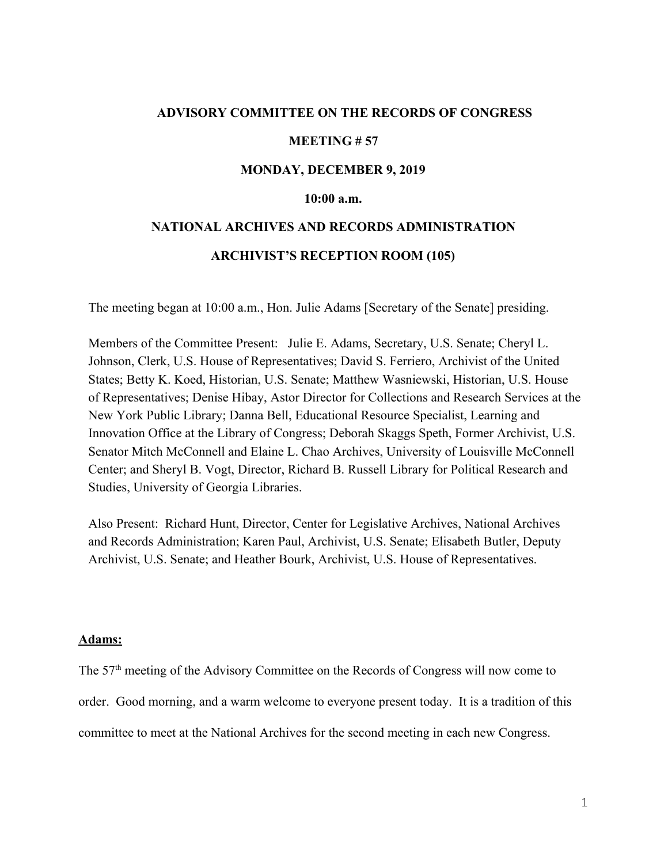## **ADVISORY COMMITTEE ON THE RECORDS OF CONGRESS**

#### **MEETING # 57**

#### **MONDAY, DECEMBER 9, 2019**

## **10:00 a.m.**

# **NATIONAL ARCHIVES AND RECORDS ADMINISTRATION ARCHIVIST'S RECEPTION ROOM (105)**

The meeting began at 10:00 a.m., Hon. Julie Adams [Secretary of the Senate] presiding.

Members of the Committee Present: Julie E. Adams, Secretary, U.S. Senate; Cheryl L. Johnson, Clerk, U.S. House of Representatives; David S. Ferriero, Archivist of the United States; Betty K. Koed, Historian, U.S. Senate; Matthew Wasniewski, Historian, U.S. House of Representatives; Denise Hibay, Astor Director for Collections and Research Services at the New York Public Library; Danna Bell, Educational Resource Specialist, Learning and Innovation Office at the Library of Congress; Deborah Skaggs Speth, Former Archivist, U.S. Senator Mitch McConnell and Elaine L. Chao Archives, University of Louisville McConnell Center; and Sheryl B. Vogt, Director, Richard B. Russell Library for Political Research and Studies, University of Georgia Libraries.

Also Present: Richard Hunt, Director, Center for Legislative Archives, National Archives and Records Administration; Karen Paul, Archivist, U.S. Senate; Elisabeth Butler, Deputy Archivist, U.S. Senate; and Heather Bourk, Archivist, U.S. House of Representatives.

#### **Adams:**

The 57<sup>th</sup> meeting of the Advisory Committee on the Records of Congress will now come to order. Good morning, and a warm welcome to everyone present today. It is a tradition of this committee to meet at the National Archives for the second meeting in each new Congress.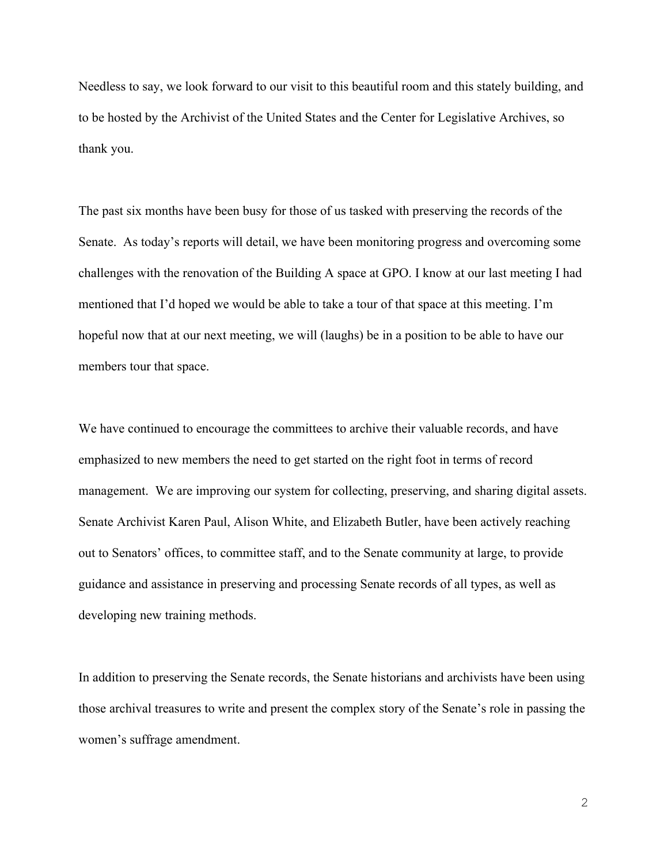Needless to say, we look forward to our visit to this beautiful room and this stately building, and to be hosted by the Archivist of the United States and the Center for Legislative Archives, so thank you.

The past six months have been busy for those of us tasked with preserving the records of the Senate. As today's reports will detail, we have been monitoring progress and overcoming some challenges with the renovation of the Building A space at GPO. I know at our last meeting I had mentioned that I'd hoped we would be able to take a tour of that space at this meeting. I'm hopeful now that at our next meeting, we will (laughs) be in a position to be able to have our members tour that space.

We have continued to encourage the committees to archive their valuable records, and have emphasized to new members the need to get started on the right foot in terms of record management. We are improving our system for collecting, preserving, and sharing digital assets. Senate Archivist Karen Paul, Alison White, and Elizabeth Butler, have been actively reaching out to Senators' offices, to committee staff, and to the Senate community at large, to provide guidance and assistance in preserving and processing Senate records of all types, as well as developing new training methods.

In addition to preserving the Senate records, the Senate historians and archivists have been using those archival treasures to write and present the complex story of the Senate's role in passing the women's suffrage amendment.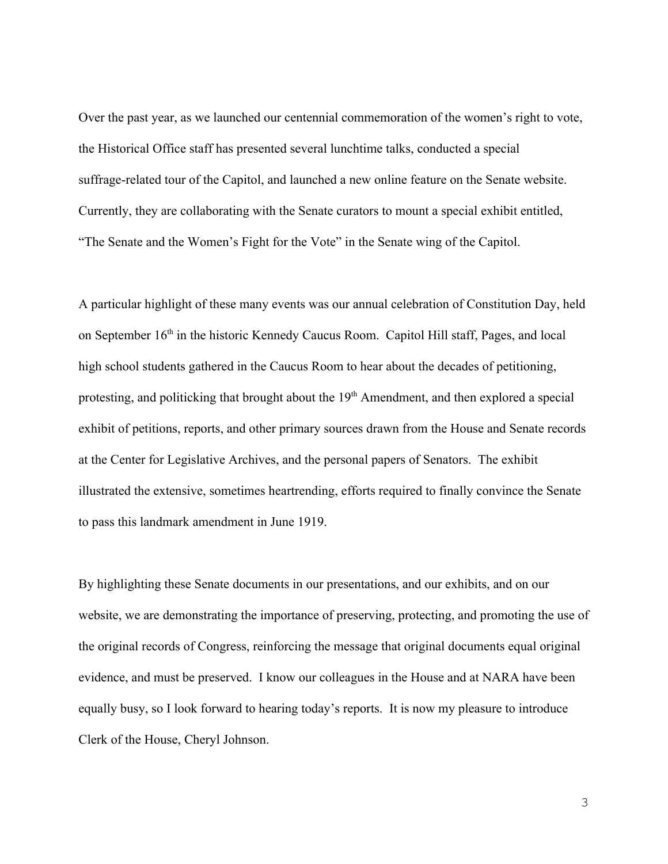Over the past year, as we launched our centennial commemoration of the women's right to vote, the Historical Office staff has presented several lunchtime talks, conducted a special suffrage-related tour of the Capitol, and launched a new online feature on the Senate website. Currently, they are collaborating with the Senate curators to mount a special exhibit entitled, "The Senate and the Women's Fight for the Vote" in the Senate wing of the Capitol.

A particular highlight of these many events was our annual celebration of Constitution Day, held on September 16<sup>th</sup> in the historic Kennedy Caucus Room. Capitol Hill staff, Pages, and local high school students gathered in the Caucus Room to hear about the decades of petitioning, protesting, and politicking that brought about the 19<sup>th</sup> Amendment, and then explored a special exhibit of petitions, reports, and other primary sources drawn from the House and Senate records at the Center for Legislative Archives, and the personal papers of Senators. The exhibit illustrated the extensive, sometimes heartrending, efforts required to finally convince the Senate to pass this landmark amendment in June 1919.

By highlighting these Senate documents in our presentations, and our exhibits, and on our website, we are demonstrating the importance of preserving, protecting, and promoting the use of the original records of Congress, reinforcing the message that original documents equal original evidence, and must be preserved. I know our colleagues in the House and at NARA have been equally busy, so I look forward to hearing today's reports. It is now my pleasure to introduce Clerk of the House, Cheryl Johnson.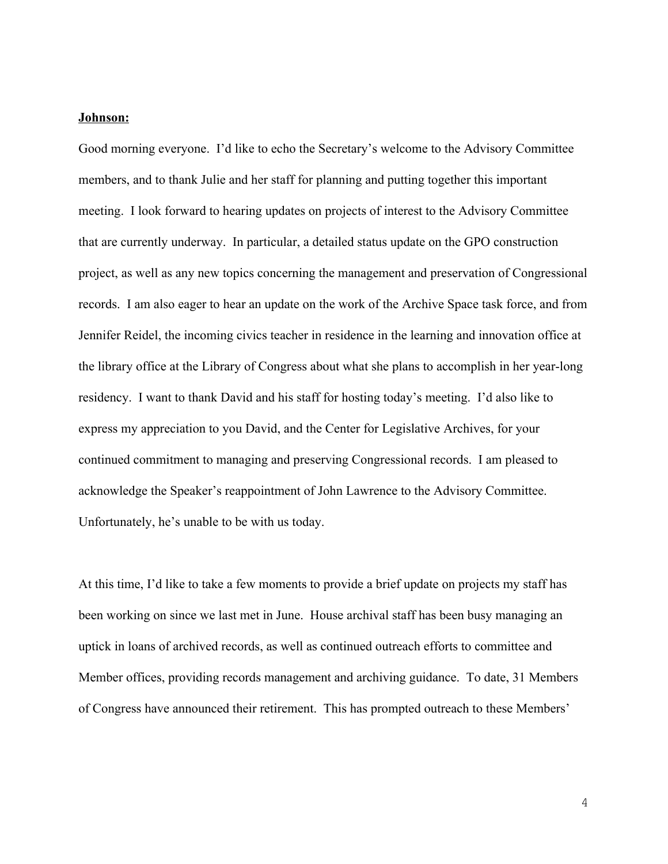#### **Johnson:**

Good morning everyone. I'd like to echo the Secretary's welcome to the Advisory Committee members, and to thank Julie and her staff for planning and putting together this important meeting. I look forward to hearing updates on projects of interest to the Advisory Committee that are currently underway. In particular, a detailed status update on the GPO construction project, as well as any new topics concerning the management and preservation of Congressional records. I am also eager to hear an update on the work of the Archive Space task force, and from Jennifer Reidel, the incoming civics teacher in residence in the learning and innovation office at the library office at the Library of Congress about what she plans to accomplish in her year-long residency. I want to thank David and his staff for hosting today's meeting. I'd also like to express my appreciation to you David, and the Center for Legislative Archives, for your continued commitment to managing and preserving Congressional records. I am pleased to acknowledge the Speaker's reappointment of John Lawrence to the Advisory Committee. Unfortunately, he's unable to be with us today.

At this time, I'd like to take a few moments to provide a brief update on projects my staff has been working on since we last met in June. House archival staff has been busy managing an uptick in loans of archived records, as well as continued outreach efforts to committee and Member offices, providing records management and archiving guidance. To date, 31 Members of Congress have announced their retirement. This has prompted outreach to these Members'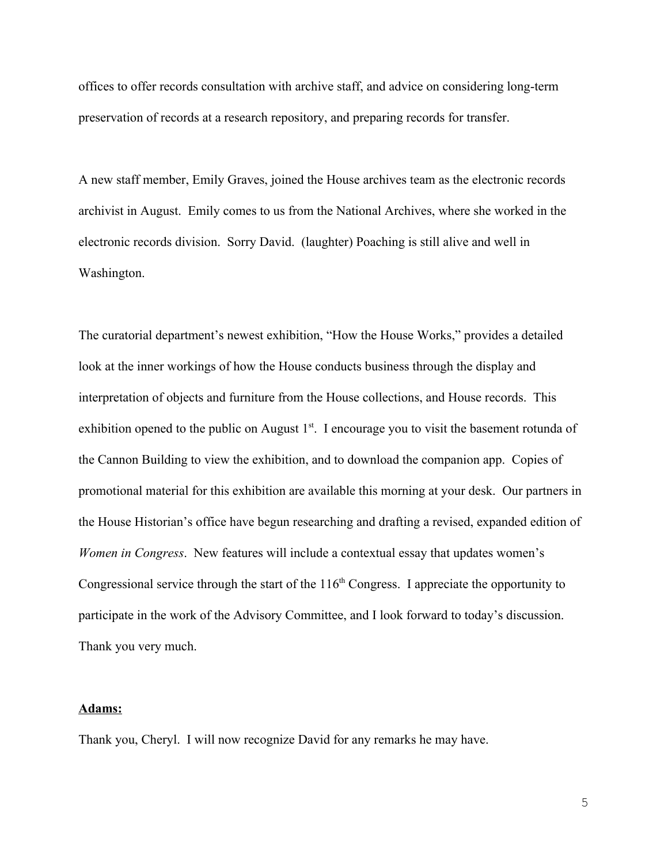offices to offer records consultation with archive staff, and advice on considering long-term preservation of records at a research repository, and preparing records for transfer.

A new staff member, Emily Graves, joined the House archives team as the electronic records archivist in August. Emily comes to us from the National Archives, where she worked in the electronic records division. Sorry David. (laughter) Poaching is still alive and well in Washington.

The curatorial department's newest exhibition, "How the House Works," provides a detailed look at the inner workings of how the House conducts business through the display and interpretation of objects and furniture from the House collections, and House records. This exhibition opened to the public on August  $1<sup>st</sup>$ . I encourage you to visit the basement rotunda of the Cannon Building to view the exhibition, and to download the companion app. Copies of promotional material for this exhibition are available this morning at your desk. Our partners in the House Historian's office have begun researching and drafting a revised, expanded edition of *Women in Congress*. New features will include a contextual essay that updates women's Congressional service through the start of the  $116<sup>th</sup>$  Congress. I appreciate the opportunity to participate in the work of the Advisory Committee, and I look forward to today's discussion. Thank you very much.

#### **Adams:**

Thank you, Cheryl. I will now recognize David for any remarks he may have.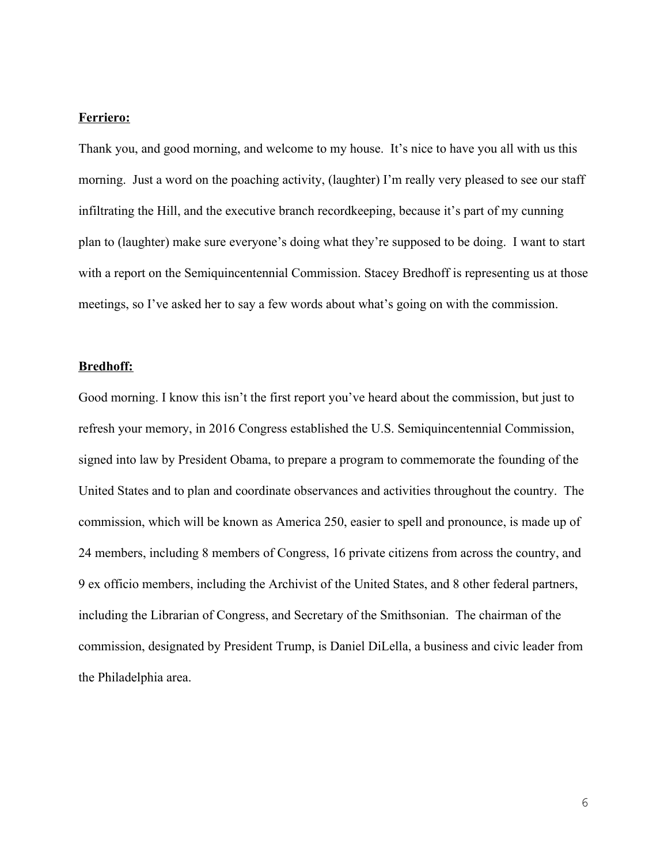## **Ferriero:**

Thank you, and good morning, and welcome to my house. It's nice to have you all with us this morning. Just a word on the poaching activity, (laughter) I'm really very pleased to see our staff infiltrating the Hill, and the executive branch recordkeeping, because it's part of my cunning plan to (laughter) make sure everyone's doing what they're supposed to be doing. I want to start with a report on the Semiquincentennial Commission. Stacey Bredhoff is representing us at those meetings, so I've asked her to say a few words about what's going on with the commission.

#### **Bredhoff:**

Good morning. I know this isn't the first report you've heard about the commission, but just to refresh your memory, in 2016 Congress established the U.S. Semiquincentennial Commission, signed into law by President Obama, to prepare a program to commemorate the founding of the United States and to plan and coordinate observances and activities throughout the country. The commission, which will be known as America 250, easier to spell and pronounce, is made up of 24 members, including 8 members of Congress, 16 private citizens from across the country, and 9 ex officio members, including the Archivist of the United States, and 8 other federal partners, including the Librarian of Congress, and Secretary of the Smithsonian. The chairman of the commission, designated by President Trump, is Daniel DiLella, a business and civic leader from the Philadelphia area.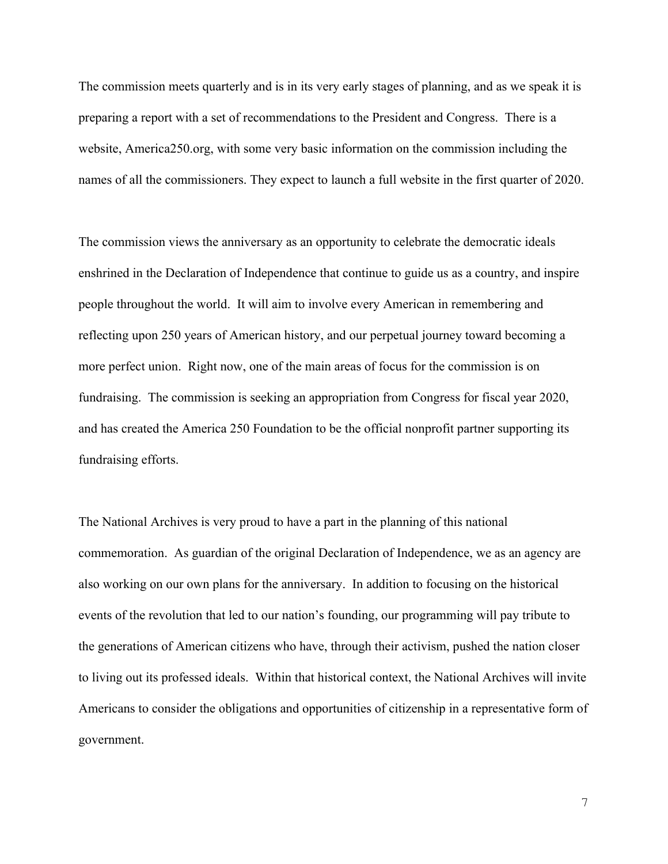The commission meets quarterly and is in its very early stages of planning, and as we speak it is preparing a report with a set of recommendations to the President and Congress. There is a website, America250.org, with some very basic information on the commission including the names of all the commissioners. They expect to launch a full website in the first quarter of 2020.

The commission views the anniversary as an opportunity to celebrate the democratic ideals enshrined in the Declaration of Independence that continue to guide us as a country, and inspire people throughout the world. It will aim to involve every American in remembering and reflecting upon 250 years of American history, and our perpetual journey toward becoming a more perfect union. Right now, one of the main areas of focus for the commission is on fundraising. The commission is seeking an appropriation from Congress for fiscal year 2020, and has created the America 250 Foundation to be the official nonprofit partner supporting its fundraising efforts.

The National Archives is very proud to have a part in the planning of this national commemoration. As guardian of the original Declaration of Independence, we as an agency are also working on our own plans for the anniversary. In addition to focusing on the historical events of the revolution that led to our nation's founding, our programming will pay tribute to the generations of American citizens who have, through their activism, pushed the nation closer to living out its professed ideals. Within that historical context, the National Archives will invite Americans to consider the obligations and opportunities of citizenship in a representative form of government.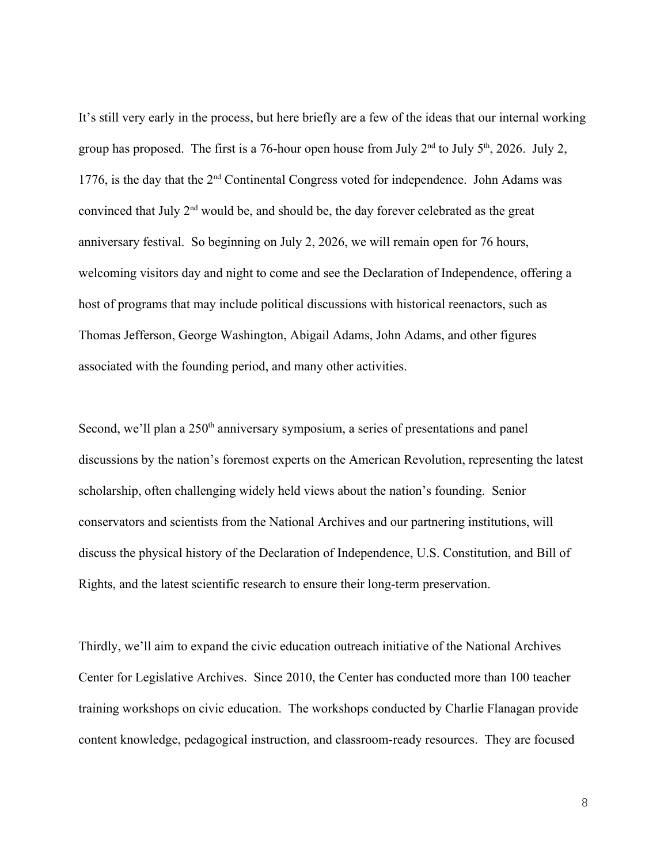It's still very early in the process, but here briefly are a few of the ideas that our internal working group has proposed. The first is a 76-hour open house from July  $2<sup>nd</sup>$  to July  $5<sup>th</sup>$ , 2026. July 2, 1776, is the day that the 2<sup>nd</sup> Continental Congress voted for independence. John Adams was convinced that July  $2<sup>nd</sup>$  would be, and should be, the day forever celebrated as the great anniversary festival. So beginning on July 2, 2026, we will remain open for 76 hours, welcoming visitors day and night to come and see the Declaration of Independence, offering a host of programs that may include political discussions with historical reenactors, such as Thomas Jefferson, George Washington, Abigail Adams, John Adams, and other figures associated with the founding period, and many other activities.

Second, we'll plan a 250<sup>th</sup> anniversary symposium, a series of presentations and panel discussions by the nation's foremost experts on the American Revolution, representing the latest scholarship, often challenging widely held views about the nation's founding. Senior conservators and scientists from the National Archives and our partnering institutions, will discuss the physical history of the Declaration of Independence, U.S. Constitution, and Bill of Rights, and the latest scientific research to ensure their long-term preservation.

Thirdly, we'll aim to expand the civic education outreach initiative of the National Archives Center for Legislative Archives. Since 2010, the Center has conducted more than 100 teacher training workshops on civic education. The workshops conducted by Charlie Flanagan provide content knowledge, pedagogical instruction, and classroom-ready resources. They are focused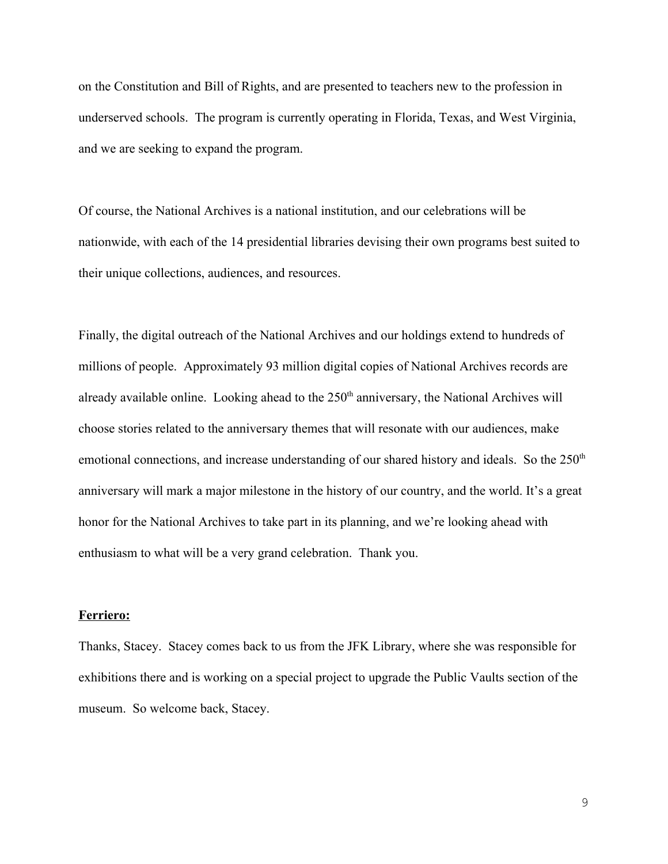on the Constitution and Bill of Rights, and are presented to teachers new to the profession in underserved schools. The program is currently operating in Florida, Texas, and West Virginia, and we are seeking to expand the program.

Of course, the National Archives is a national institution, and our celebrations will be nationwide, with each of the 14 presidential libraries devising their own programs best suited to their unique collections, audiences, and resources.

Finally, the digital outreach of the National Archives and our holdings extend to hundreds of millions of people. Approximately 93 million digital copies of National Archives records are already available online. Looking ahead to the  $250<sup>th</sup>$  anniversary, the National Archives will choose stories related to the anniversary themes that will resonate with our audiences, make emotional connections, and increase understanding of our shared history and ideals. So the 250<sup>th</sup> anniversary will mark a major milestone in the history of our country, and the world. It's a great honor for the National Archives to take part in its planning, and we're looking ahead with enthusiasm to what will be a very grand celebration. Thank you.

#### **Ferriero:**

Thanks, Stacey. Stacey comes back to us from the JFK Library, where she was responsible for exhibitions there and is working on a special project to upgrade the Public Vaults section of the museum. So welcome back, Stacey.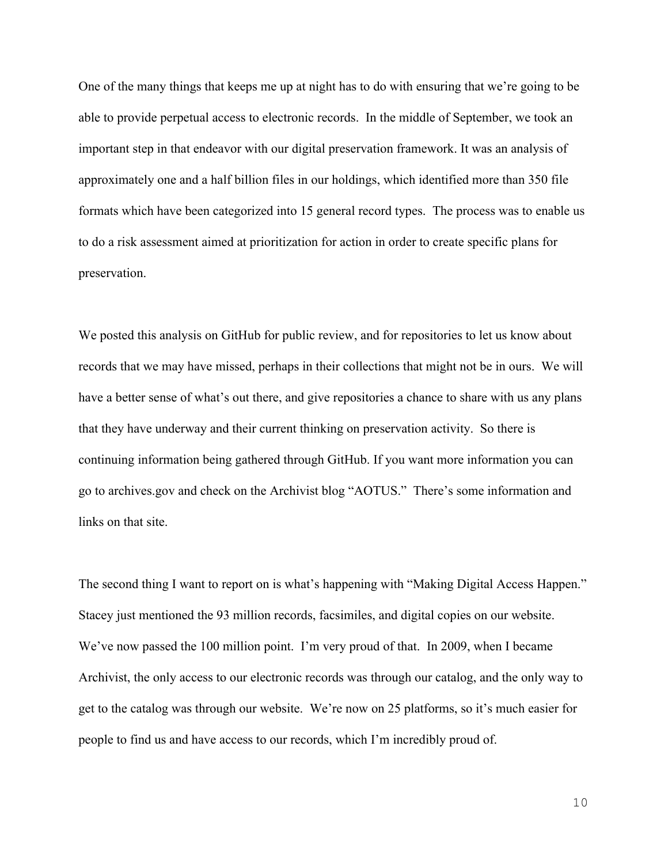One of the many things that keeps me up at night has to do with ensuring that we're going to be able to provide perpetual access to electronic records. In the middle of September, we took an important step in that endeavor with our digital preservation framework. It was an analysis of approximately one and a half billion files in our holdings, which identified more than 350 file formats which have been categorized into 15 general record types. The process was to enable us to do a risk assessment aimed at prioritization for action in order to create specific plans for preservation.

We posted this analysis on GitHub for public review, and for repositories to let us know about records that we may have missed, perhaps in their collections that might not be in ours. We will have a better sense of what's out there, and give repositories a chance to share with us any plans that they have underway and their current thinking on preservation activity. So there is continuing information being gathered through GitHub. If you want more information you can go to archives.gov and check on the Archivist blog "AOTUS." There's some information and links on that site.

The second thing I want to report on is what's happening with "Making Digital Access Happen." Stacey just mentioned the 93 million records, facsimiles, and digital copies on our website. We've now passed the 100 million point. I'm very proud of that. In 2009, when I became Archivist, the only access to our electronic records was through our catalog, and the only way to get to the catalog was through our website. We're now on 25 platforms, so it's much easier for people to find us and have access to our records, which I'm incredibly proud of.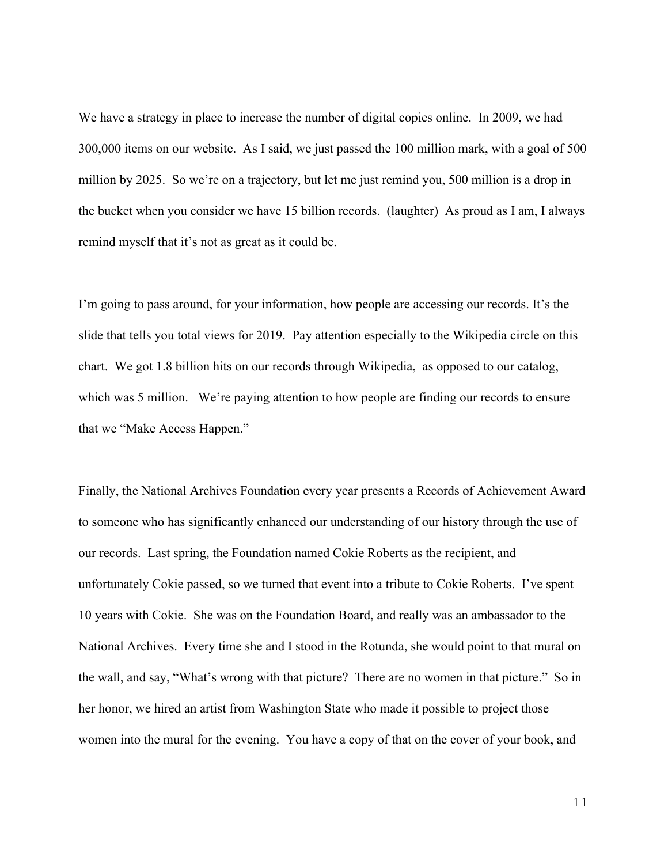We have a strategy in place to increase the number of digital copies online. In 2009, we had 300,000 items on our website. As I said, we just passed the 100 million mark, with a goal of 500 million by 2025. So we're on a trajectory, but let me just remind you, 500 million is a drop in the bucket when you consider we have 15 billion records. (laughter) As proud as I am, I always remind myself that it's not as great as it could be.

I'm going to pass around, for your information, how people are accessing our records. It's the slide that tells you total views for 2019. Pay attention especially to the Wikipedia circle on this chart. We got 1.8 billion hits on our records through Wikipedia, as opposed to our catalog, which was 5 million. We're paying attention to how people are finding our records to ensure that we "Make Access Happen."

Finally, the National Archives Foundation every year presents a Records of Achievement Award to someone who has significantly enhanced our understanding of our history through the use of our records. Last spring, the Foundation named Cokie Roberts as the recipient, and unfortunately Cokie passed, so we turned that event into a tribute to Cokie Roberts. I've spent 10 years with Cokie. She was on the Foundation Board, and really was an ambassador to the National Archives. Every time she and I stood in the Rotunda, she would point to that mural on the wall, and say, "What's wrong with that picture? There are no women in that picture." So in her honor, we hired an artist from Washington State who made it possible to project those women into the mural for the evening. You have a copy of that on the cover of your book, and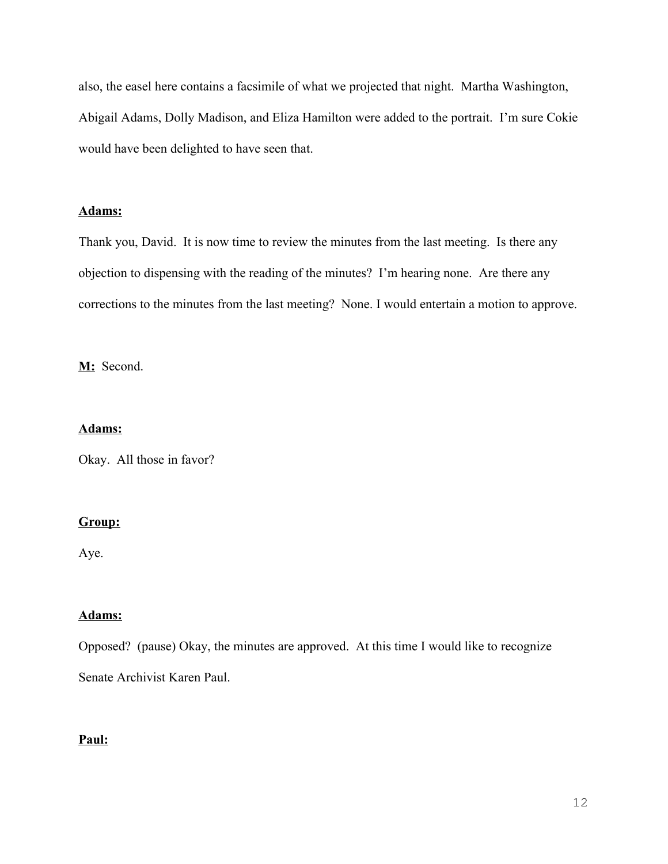also, the easel here contains a facsimile of what we projected that night. Martha Washington, Abigail Adams, Dolly Madison, and Eliza Hamilton were added to the portrait. I'm sure Cokie would have been delighted to have seen that.

# **Adams:**

Thank you, David. It is now time to review the minutes from the last meeting. Is there any objection to dispensing with the reading of the minutes? I'm hearing none. Are there any corrections to the minutes from the last meeting? None. I would entertain a motion to approve.

**M:** Second.

## **Adams:**

Okay. All those in favor?

# **Group:**

Aye.

# **Adams:**

Opposed? (pause) Okay, the minutes are approved. At this time I would like to recognize

Senate Archivist Karen Paul.

# **Paul:**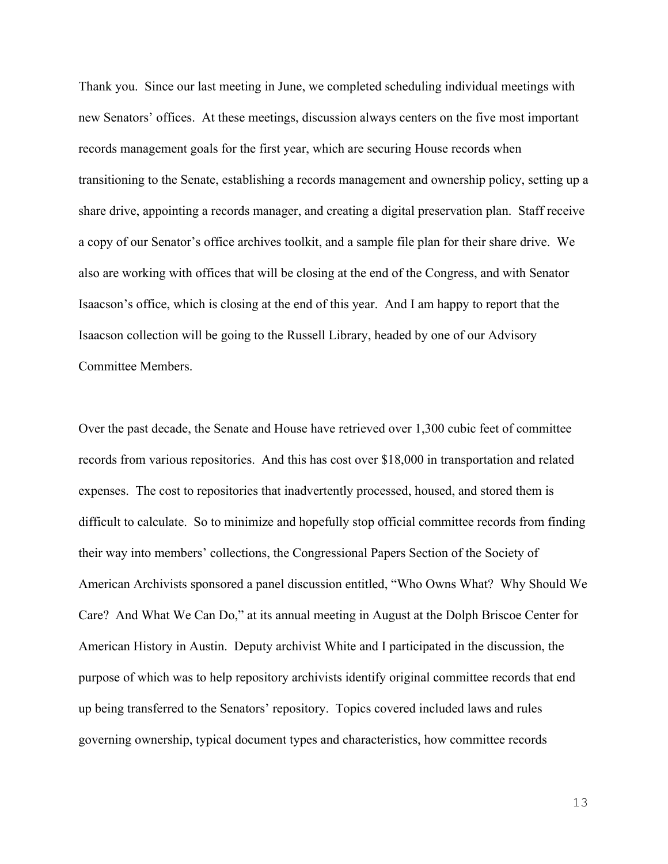Thank you. Since our last meeting in June, we completed scheduling individual meetings with new Senators' offices. At these meetings, discussion always centers on the five most important records management goals for the first year, which are securing House records when transitioning to the Senate, establishing a records management and ownership policy, setting up a share drive, appointing a records manager, and creating a digital preservation plan. Staff receive a copy of our Senator's office archives toolkit, and a sample file plan for their share drive. We also are working with offices that will be closing at the end of the Congress, and with Senator Isaacson's office, which is closing at the end of this year. And I am happy to report that the Isaacson collection will be going to the Russell Library, headed by one of our Advisory Committee Members.

Over the past decade, the Senate and House have retrieved over 1,300 cubic feet of committee records from various repositories. And this has cost over \$18,000 in transportation and related expenses. The cost to repositories that inadvertently processed, housed, and stored them is difficult to calculate. So to minimize and hopefully stop official committee records from finding their way into members' collections, the Congressional Papers Section of the Society of American Archivists sponsored a panel discussion entitled, "Who Owns What? Why Should We Care? And What We Can Do," at its annual meeting in August at the Dolph Briscoe Center for American History in Austin. Deputy archivist White and I participated in the discussion, the purpose of which was to help repository archivists identify original committee records that end up being transferred to the Senators' repository. Topics covered included laws and rules governing ownership, typical document types and characteristics, how committee records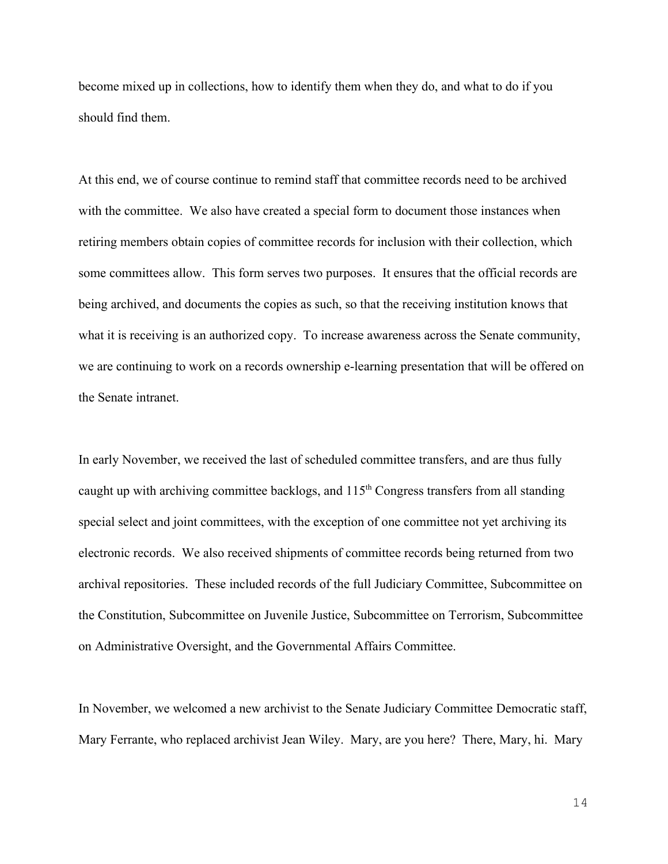become mixed up in collections, how to identify them when they do, and what to do if you should find them.

At this end, we of course continue to remind staff that committee records need to be archived with the committee. We also have created a special form to document those instances when retiring members obtain copies of committee records for inclusion with their collection, which some committees allow. This form serves two purposes. It ensures that the official records are being archived, and documents the copies as such, so that the receiving institution knows that what it is receiving is an authorized copy. To increase awareness across the Senate community, we are continuing to work on a records ownership e-learning presentation that will be offered on the Senate intranet.

In early November, we received the last of scheduled committee transfers, and are thus fully caught up with archiving committee backlogs, and  $115<sup>th</sup>$  Congress transfers from all standing special select and joint committees, with the exception of one committee not yet archiving its electronic records. We also received shipments of committee records being returned from two archival repositories. These included records of the full Judiciary Committee, Subcommittee on the Constitution, Subcommittee on Juvenile Justice, Subcommittee on Terrorism, Subcommittee on Administrative Oversight, and the Governmental Affairs Committee.

In November, we welcomed a new archivist to the Senate Judiciary Committee Democratic staff, Mary Ferrante, who replaced archivist Jean Wiley. Mary, are you here? There, Mary, hi. Mary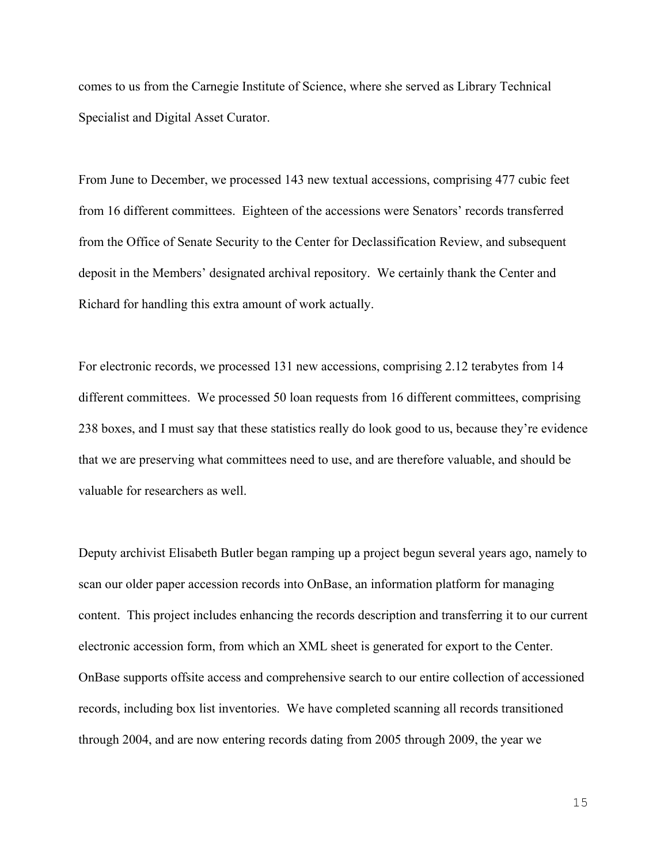comes to us from the Carnegie Institute of Science, where she served as Library Technical Specialist and Digital Asset Curator.

From June to December, we processed 143 new textual accessions, comprising 477 cubic feet from 16 different committees. Eighteen of the accessions were Senators' records transferred from the Office of Senate Security to the Center for Declassification Review, and subsequent deposit in the Members' designated archival repository. We certainly thank the Center and Richard for handling this extra amount of work actually.

For electronic records, we processed 131 new accessions, comprising 2.12 terabytes from 14 different committees. We processed 50 loan requests from 16 different committees, comprising 238 boxes, and I must say that these statistics really do look good to us, because they're evidence that we are preserving what committees need to use, and are therefore valuable, and should be valuable for researchers as well.

Deputy archivist Elisabeth Butler began ramping up a project begun several years ago, namely to scan our older paper accession records into OnBase, an information platform for managing content. This project includes enhancing the records description and transferring it to our current electronic accession form, from which an XML sheet is generated for export to the Center. OnBase supports offsite access and comprehensive search to our entire collection of accessioned records, including box list inventories. We have completed scanning all records transitioned through 2004, and are now entering records dating from 2005 through 2009, the year we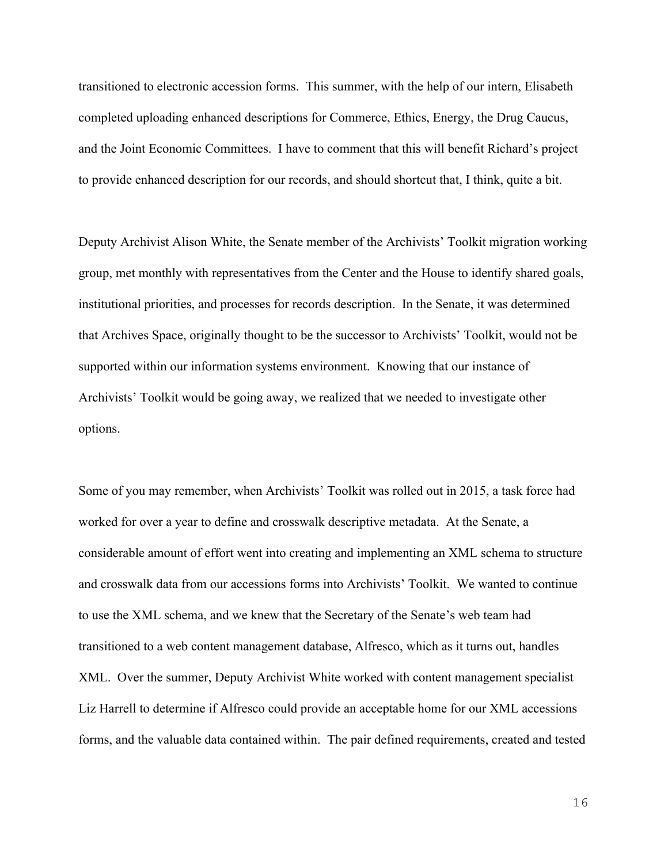transitioned to electronic accession forms. This summer, with the help of our intern, Elisabeth completed uploading enhanced descriptions for Commerce, Ethics, Energy, the Drug Caucus, and the Joint Economic Committees. I have to comment that this will benefit Richard's project to provide enhanced description for our records, and should shortcut that, I think, quite a bit.

Deputy Archivist Alison White, the Senate member of the Archivists' Toolkit migration working group, met monthly with representatives from the Center and the House to identify shared goals, institutional priorities, and processes for records description. In the Senate, it was determined that Archives Space, originally thought to be the successor to Archivists' Toolkit, would not be supported within our information systems environment. Knowing that our instance of Archivists' Toolkit would be going away, we realized that we needed to investigate other options.

Some of you may remember, when Archivists' Toolkit was rolled out in 2015, a task force had worked for over a year to define and crosswalk descriptive metadata. At the Senate, a considerable amount of effort went into creating and implementing an XML schema to structure and crosswalk data from our accessions forms into Archivists' Toolkit. We wanted to continue to use the XML schema, and we knew that the Secretary of the Senate's web team had transitioned to a web content management database, Alfresco, which as it turns out, handles XML. Over the summer, Deputy Archivist White worked with content management specialist Liz Harrell to determine if Alfresco could provide an acceptable home for our XML accessions forms, and the valuable data contained within. The pair defined requirements, created and tested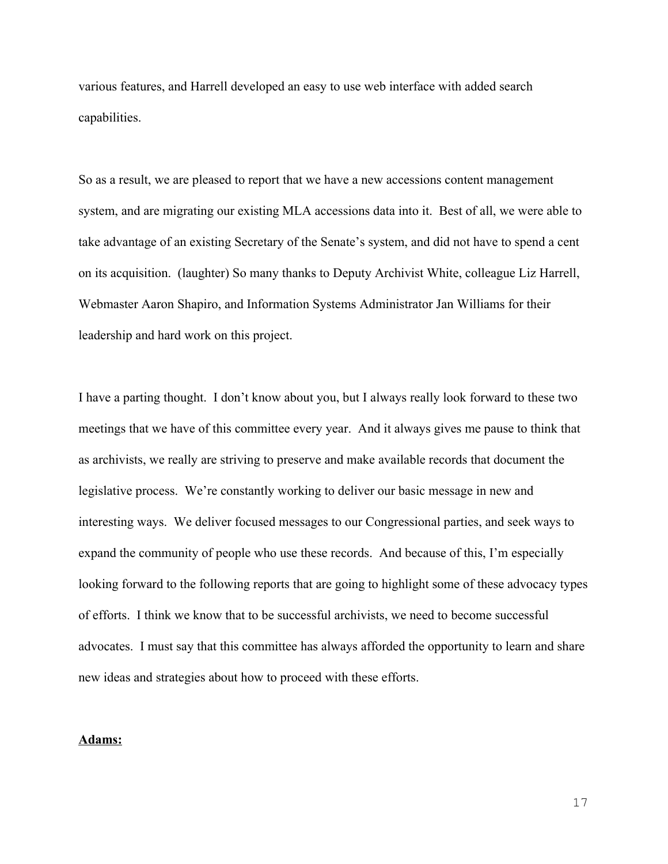various features, and Harrell developed an easy to use web interface with added search capabilities.

So as a result, we are pleased to report that we have a new accessions content management system, and are migrating our existing MLA accessions data into it. Best of all, we were able to take advantage of an existing Secretary of the Senate's system, and did not have to spend a cent on its acquisition. (laughter) So many thanks to Deputy Archivist White, colleague Liz Harrell, Webmaster Aaron Shapiro, and Information Systems Administrator Jan Williams for their leadership and hard work on this project.

I have a parting thought. I don't know about you, but I always really look forward to these two meetings that we have of this committee every year. And it always gives me pause to think that as archivists, we really are striving to preserve and make available records that document the legislative process. We're constantly working to deliver our basic message in new and interesting ways. We deliver focused messages to our Congressional parties, and seek ways to expand the community of people who use these records. And because of this, I'm especially looking forward to the following reports that are going to highlight some of these advocacy types of efforts. I think we know that to be successful archivists, we need to become successful advocates. I must say that this committee has always afforded the opportunity to learn and share new ideas and strategies about how to proceed with these efforts.

# **Adams:**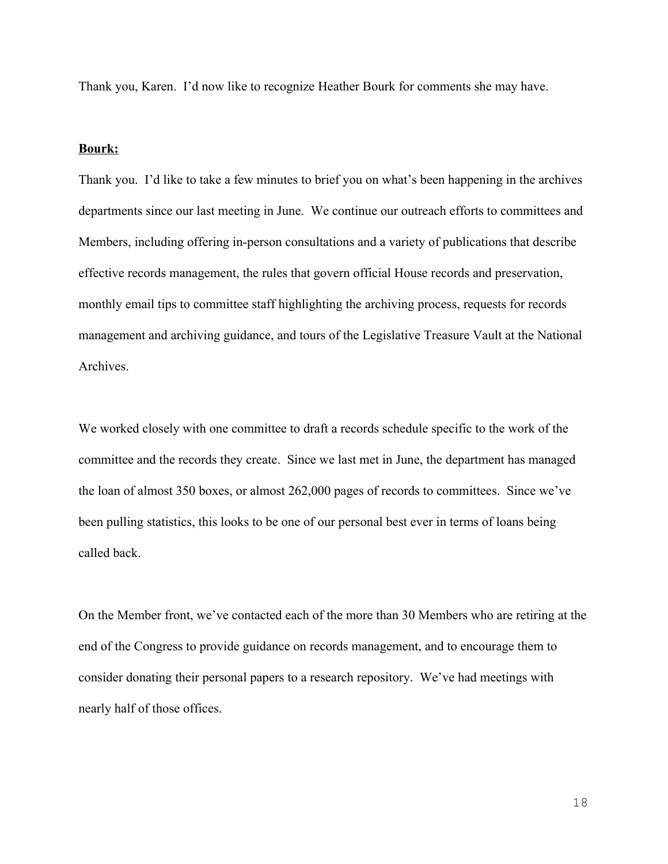Thank you, Karen. I'd now like to recognize Heather Bourk for comments she may have.

#### **Bourk:**

Thank you. I'd like to take a few minutes to brief you on what's been happening in the archives departments since our last meeting in June. We continue our outreach efforts to committees and Members, including offering in-person consultations and a variety of publications that describe effective records management, the rules that govern official House records and preservation, monthly email tips to committee staff highlighting the archiving process, requests for records management and archiving guidance, and tours of the Legislative Treasure Vault at the National Archives.

We worked closely with one committee to draft a records schedule specific to the work of the committee and the records they create. Since we last met in June, the department has managed the loan of almost 350 boxes, or almost 262,000 pages of records to committees. Since we've been pulling statistics, this looks to be one of our personal best ever in terms of loans being called back.

On the Member front, we've contacted each of the more than 30 Members who are retiring at the end of the Congress to provide guidance on records management, and to encourage them to consider donating their personal papers to a research repository. We've had meetings with nearly half of those offices.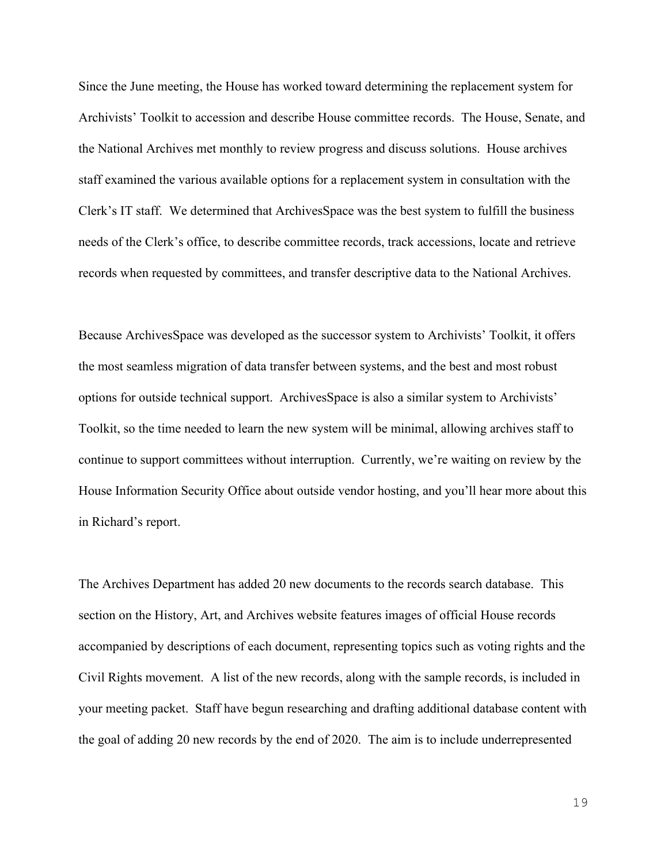Since the June meeting, the House has worked toward determining the replacement system for Archivists' Toolkit to accession and describe House committee records. The House, Senate, and the National Archives met monthly to review progress and discuss solutions. House archives staff examined the various available options for a replacement system in consultation with the Clerk's IT staff. We determined that ArchivesSpace was the best system to fulfill the business needs of the Clerk's office, to describe committee records, track accessions, locate and retrieve records when requested by committees, and transfer descriptive data to the National Archives.

Because ArchivesSpace was developed as the successor system to Archivists' Toolkit, it offers the most seamless migration of data transfer between systems, and the best and most robust options for outside technical support. ArchivesSpace is also a similar system to Archivists' Toolkit, so the time needed to learn the new system will be minimal, allowing archives staff to continue to support committees without interruption. Currently, we're waiting on review by the House Information Security Office about outside vendor hosting, and you'll hear more about this in Richard's report.

The Archives Department has added 20 new documents to the records search database. This section on the History, Art, and Archives website features images of official House records accompanied by descriptions of each document, representing topics such as voting rights and the Civil Rights movement. A list of the new records, along with the sample records, is included in your meeting packet. Staff have begun researching and drafting additional database content with the goal of adding 20 new records by the end of 2020. The aim is to include underrepresented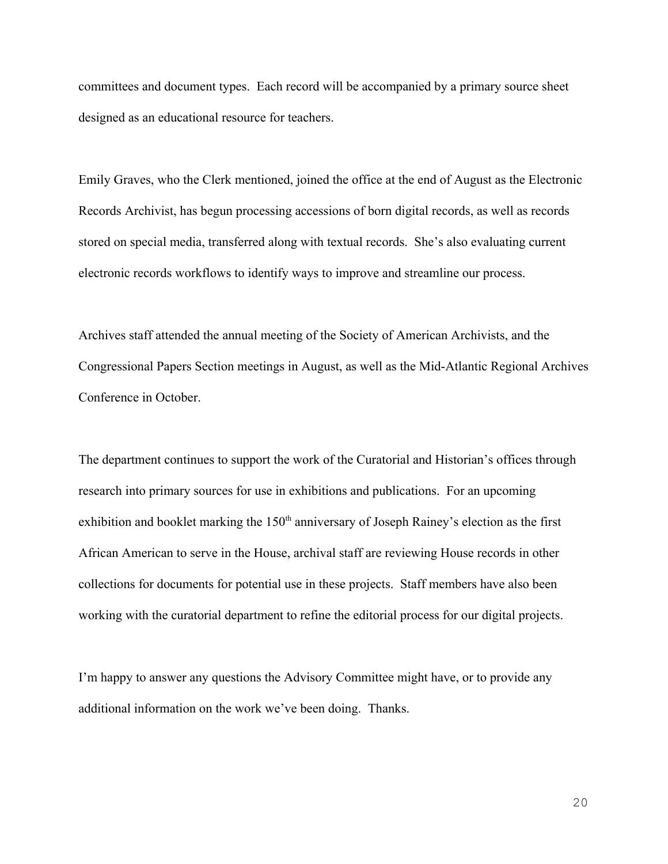committees and document types. Each record will be accompanied by a primary source sheet designed as an educational resource for teachers.

Emily Graves, who the Clerk mentioned, joined the office at the end of August as the Electronic Records Archivist, has begun processing accessions of born digital records, as well as records stored on special media, transferred along with textual records. She's also evaluating current electronic records workflows to identify ways to improve and streamline our process.

Archives staff attended the annual meeting of the Society of American Archivists, and the Congressional Papers Section meetings in August, as well as the Mid-Atlantic Regional Archives Conference in October.

The department continues to support the work of the Curatorial and Historian's offices through research into primary sources for use in exhibitions and publications. For an upcoming exhibition and booklet marking the  $150<sup>th</sup>$  anniversary of Joseph Rainey's election as the first African American to serve in the House, archival staff are reviewing House records in other collections for documents for potential use in these projects. Staff members have also been working with the curatorial department to refine the editorial process for our digital projects.

I'm happy to answer any questions the Advisory Committee might have, or to provide any additional information on the work we've been doing. Thanks.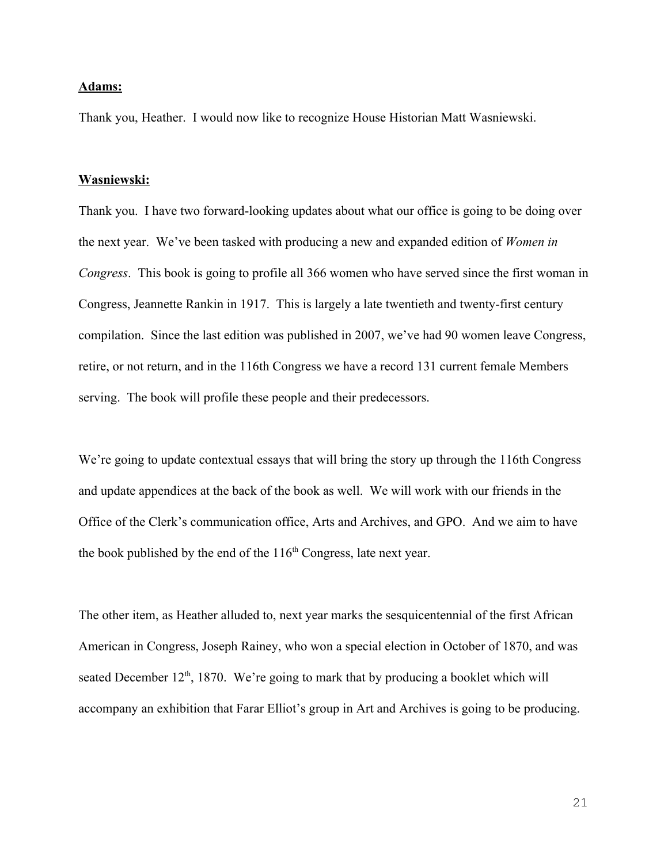## **Adams:**

Thank you, Heather. I would now like to recognize House Historian Matt Wasniewski.

#### **Wasniewski:**

Thank you. I have two forward-looking updates about what our office is going to be doing over the next year. We've been tasked with producing a new and expanded edition of *Women in Congress*. This book is going to profile all 366 women who have served since the first woman in Congress, Jeannette Rankin in 1917. This is largely a late twentieth and twenty-first century compilation. Since the last edition was published in 2007, we've had 90 women leave Congress, retire, or not return, and in the 116th Congress we have a record 131 current female Members serving. The book will profile these people and their predecessors.

We're going to update contextual essays that will bring the story up through the 116th Congress and update appendices at the back of the book as well. We will work with our friends in the Office of the Clerk's communication office, Arts and Archives, and GPO. And we aim to have the book published by the end of the  $116<sup>th</sup>$  Congress, late next year.

The other item, as Heather alluded to, next year marks the sesquicentennial of the first African American in Congress, Joseph Rainey, who won a special election in October of 1870, and was seated December  $12<sup>th</sup>$ , 1870. We're going to mark that by producing a booklet which will accompany an exhibition that Farar Elliot's group in Art and Archives is going to be producing.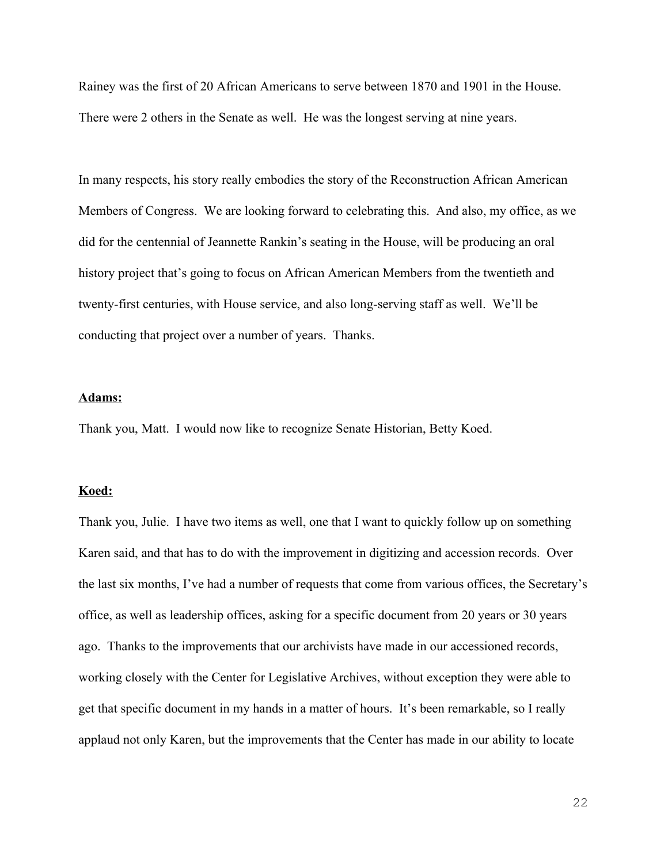Rainey was the first of 20 African Americans to serve between 1870 and 1901 in the House. There were 2 others in the Senate as well. He was the longest serving at nine years.

In many respects, his story really embodies the story of the Reconstruction African American Members of Congress. We are looking forward to celebrating this. And also, my office, as we did for the centennial of Jeannette Rankin's seating in the House, will be producing an oral history project that's going to focus on African American Members from the twentieth and twenty-first centuries, with House service, and also long-serving staff as well. We'll be conducting that project over a number of years. Thanks.

## **Adams:**

Thank you, Matt. I would now like to recognize Senate Historian, Betty Koed.

## **Koed:**

Thank you, Julie. I have two items as well, one that I want to quickly follow up on something Karen said, and that has to do with the improvement in digitizing and accession records. Over the last six months, I've had a number of requests that come from various offices, the Secretary's office, as well as leadership offices, asking for a specific document from 20 years or 30 years ago. Thanks to the improvements that our archivists have made in our accessioned records, working closely with the Center for Legislative Archives, without exception they were able to get that specific document in my hands in a matter of hours. It's been remarkable, so I really applaud not only Karen, but the improvements that the Center has made in our ability to locate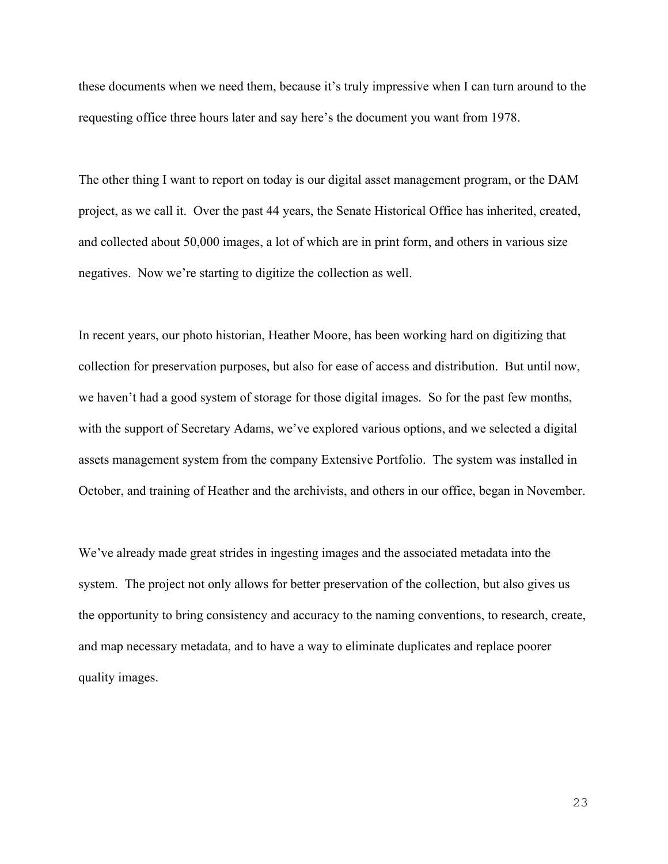these documents when we need them, because it's truly impressive when I can turn around to the requesting office three hours later and say here's the document you want from 1978.

The other thing I want to report on today is our digital asset management program, or the DAM project, as we call it. Over the past 44 years, the Senate Historical Office has inherited, created, and collected about 50,000 images, a lot of which are in print form, and others in various size negatives. Now we're starting to digitize the collection as well.

In recent years, our photo historian, Heather Moore, has been working hard on digitizing that collection for preservation purposes, but also for ease of access and distribution. But until now, we haven't had a good system of storage for those digital images. So for the past few months, with the support of Secretary Adams, we've explored various options, and we selected a digital assets management system from the company Extensive Portfolio. The system was installed in October, and training of Heather and the archivists, and others in our office, began in November.

We've already made great strides in ingesting images and the associated metadata into the system. The project not only allows for better preservation of the collection, but also gives us the opportunity to bring consistency and accuracy to the naming conventions, to research, create, and map necessary metadata, and to have a way to eliminate duplicates and replace poorer quality images.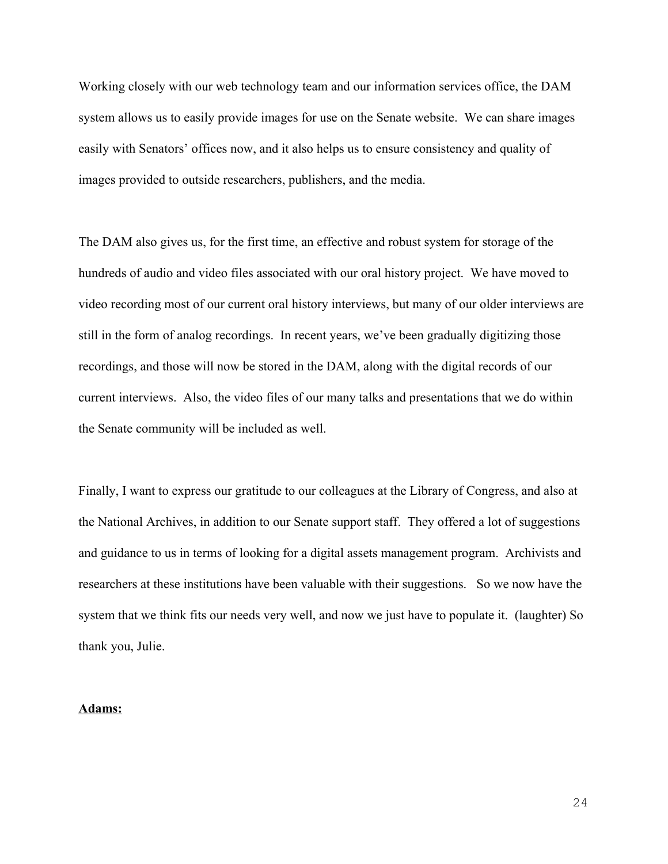Working closely with our web technology team and our information services office, the DAM system allows us to easily provide images for use on the Senate website. We can share images easily with Senators' offices now, and it also helps us to ensure consistency and quality of images provided to outside researchers, publishers, and the media.

The DAM also gives us, for the first time, an effective and robust system for storage of the hundreds of audio and video files associated with our oral history project. We have moved to video recording most of our current oral history interviews, but many of our older interviews are still in the form of analog recordings. In recent years, we've been gradually digitizing those recordings, and those will now be stored in the DAM, along with the digital records of our current interviews. Also, the video files of our many talks and presentations that we do within the Senate community will be included as well.

Finally, I want to express our gratitude to our colleagues at the Library of Congress, and also at the National Archives, in addition to our Senate support staff. They offered a lot of suggestions and guidance to us in terms of looking for a digital assets management program. Archivists and researchers at these institutions have been valuable with their suggestions. So we now have the system that we think fits our needs very well, and now we just have to populate it. (laughter) So thank you, Julie.

## **Adams:**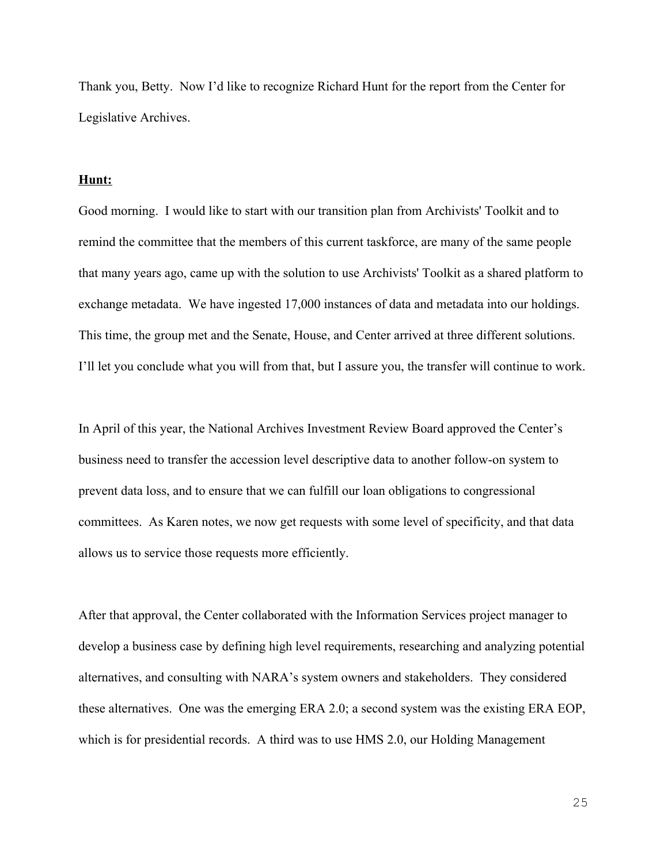Thank you, Betty. Now I'd like to recognize Richard Hunt for the report from the Center for Legislative Archives.

## **Hunt:**

Good morning. I would like to start with our transition plan from Archivists' Toolkit and to remind the committee that the members of this current taskforce, are many of the same people that many years ago, came up with the solution to use Archivists' Toolkit as a shared platform to exchange metadata. We have ingested 17,000 instances of data and metadata into our holdings. This time, the group met and the Senate, House, and Center arrived at three different solutions. I'll let you conclude what you will from that, but I assure you, the transfer will continue to work.

In April of this year, the National Archives Investment Review Board approved the Center's business need to transfer the accession level descriptive data to another follow-on system to prevent data loss, and to ensure that we can fulfill our loan obligations to congressional committees. As Karen notes, we now get requests with some level of specificity, and that data allows us to service those requests more efficiently.

After that approval, the Center collaborated with the Information Services project manager to develop a business case by defining high level requirements, researching and analyzing potential alternatives, and consulting with NARA's system owners and stakeholders. They considered these alternatives. One was the emerging ERA 2.0; a second system was the existing ERA EOP, which is for presidential records. A third was to use HMS 2.0, our Holding Management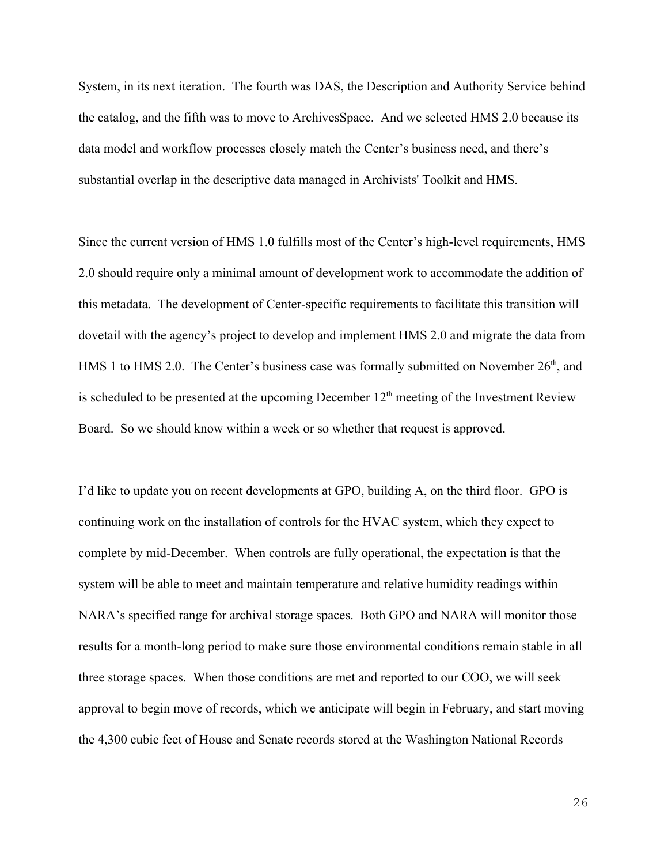System, in its next iteration. The fourth was DAS, the Description and Authority Service behind the catalog, and the fifth was to move to ArchivesSpace. And we selected HMS 2.0 because its data model and workflow processes closely match the Center's business need, and there's substantial overlap in the descriptive data managed in Archivists' Toolkit and HMS.

Since the current version of HMS 1.0 fulfills most of the Center's high-level requirements, HMS 2.0 should require only a minimal amount of development work to accommodate the addition of this metadata. The development of Center-specific requirements to facilitate this transition will dovetail with the agency's project to develop and implement HMS 2.0 and migrate the data from HMS 1 to HMS 2.0. The Center's business case was formally submitted on November 26<sup>th</sup>, and is scheduled to be presented at the upcoming December  $12<sup>th</sup>$  meeting of the Investment Review Board. So we should know within a week or so whether that request is approved.

I'd like to update you on recent developments at GPO, building A, on the third floor. GPO is continuing work on the installation of controls for the HVAC system, which they expect to complete by mid-December. When controls are fully operational, the expectation is that the system will be able to meet and maintain temperature and relative humidity readings within NARA's specified range for archival storage spaces. Both GPO and NARA will monitor those results for a month-long period to make sure those environmental conditions remain stable in all three storage spaces. When those conditions are met and reported to our COO, we will seek approval to begin move of records, which we anticipate will begin in February, and start moving the 4,300 cubic feet of House and Senate records stored at the Washington National Records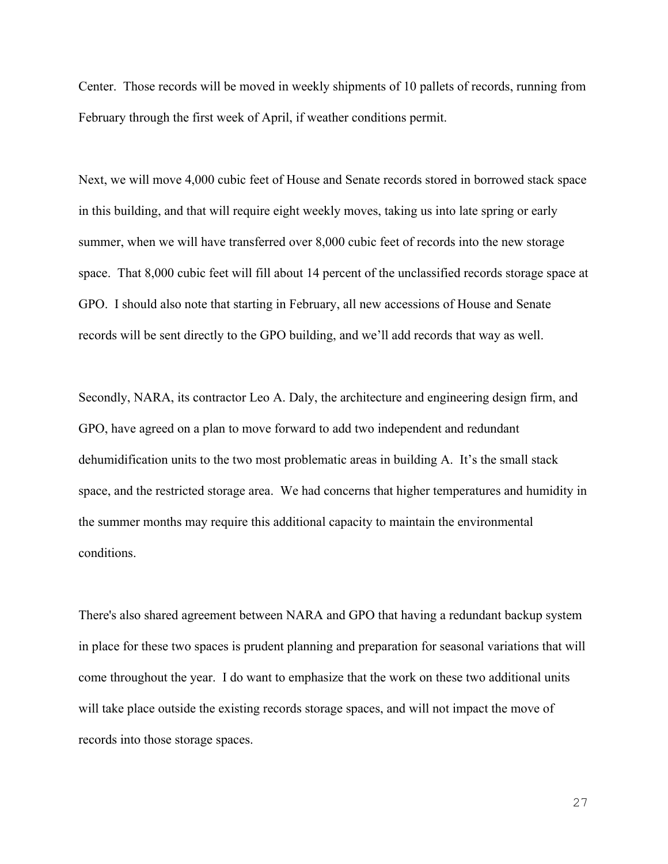Center. Those records will be moved in weekly shipments of 10 pallets of records, running from February through the first week of April, if weather conditions permit.

Next, we will move 4,000 cubic feet of House and Senate records stored in borrowed stack space in this building, and that will require eight weekly moves, taking us into late spring or early summer, when we will have transferred over 8,000 cubic feet of records into the new storage space. That 8,000 cubic feet will fill about 14 percent of the unclassified records storage space at GPO. I should also note that starting in February, all new accessions of House and Senate records will be sent directly to the GPO building, and we'll add records that way as well.

Secondly, NARA, its contractor Leo A. Daly, the architecture and engineering design firm, and GPO, have agreed on a plan to move forward to add two independent and redundant dehumidification units to the two most problematic areas in building A. It's the small stack space, and the restricted storage area. We had concerns that higher temperatures and humidity in the summer months may require this additional capacity to maintain the environmental conditions.

There's also shared agreement between NARA and GPO that having a redundant backup system in place for these two spaces is prudent planning and preparation for seasonal variations that will come throughout the year. I do want to emphasize that the work on these two additional units will take place outside the existing records storage spaces, and will not impact the move of records into those storage spaces.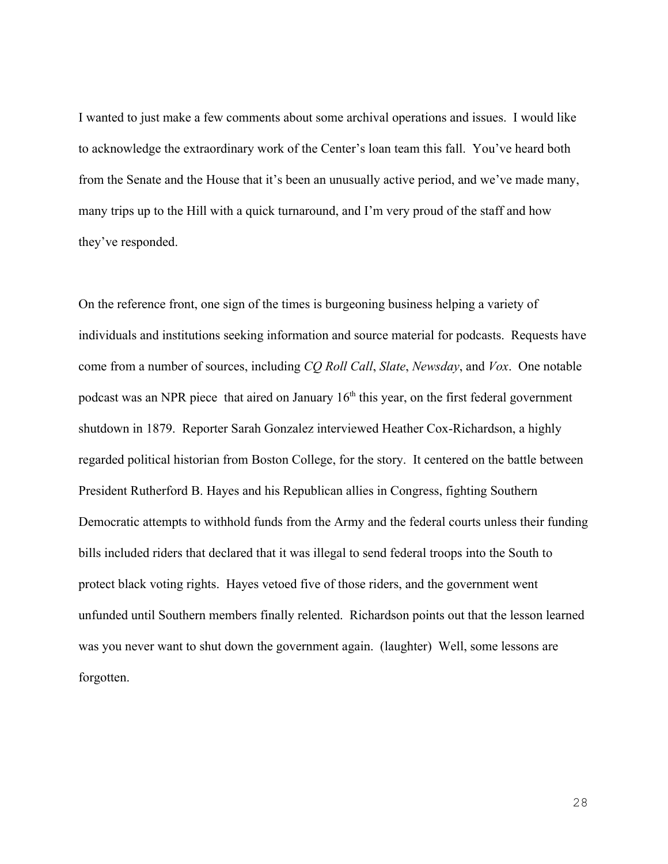I wanted to just make a few comments about some archival operations and issues. I would like to acknowledge the extraordinary work of the Center's loan team this fall. You've heard both from the Senate and the House that it's been an unusually active period, and we've made many, many trips up to the Hill with a quick turnaround, and I'm very proud of the staff and how they've responded.

On the reference front, one sign of the times is burgeoning business helping a variety of individuals and institutions seeking information and source material for podcasts. Requests have come from a number of sources, including *CQ Roll Call*, *Slate*, *Newsday*, and *Vox*. One notable podcast was an NPR piece that aired on January  $16<sup>th</sup>$  this year, on the first federal government shutdown in 1879. Reporter Sarah Gonzalez interviewed Heather Cox-Richardson, a highly regarded political historian from Boston College, for the story. It centered on the battle between President Rutherford B. Hayes and his Republican allies in Congress, fighting Southern Democratic attempts to withhold funds from the Army and the federal courts unless their funding bills included riders that declared that it was illegal to send federal troops into the South to protect black voting rights. Hayes vetoed five of those riders, and the government went unfunded until Southern members finally relented. Richardson points out that the lesson learned was you never want to shut down the government again. (laughter) Well, some lessons are forgotten.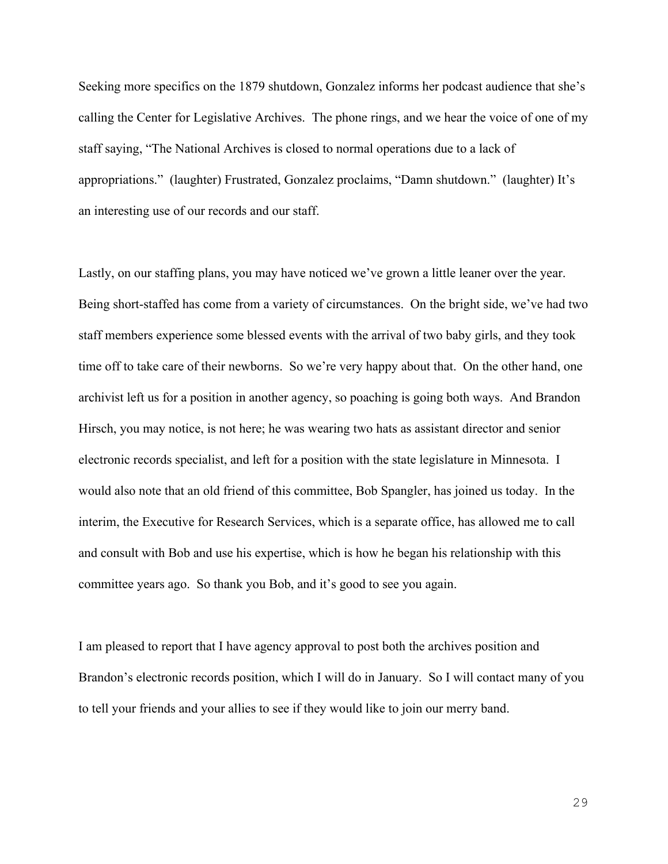Seeking more specifics on the 1879 shutdown, Gonzalez informs her podcast audience that she's calling the Center for Legislative Archives. The phone rings, and we hear the voice of one of my staff saying, "The National Archives is closed to normal operations due to a lack of appropriations." (laughter) Frustrated, Gonzalez proclaims, "Damn shutdown." (laughter) It's an interesting use of our records and our staff.

Lastly, on our staffing plans, you may have noticed we've grown a little leaner over the year. Being short-staffed has come from a variety of circumstances. On the bright side, we've had two staff members experience some blessed events with the arrival of two baby girls, and they took time off to take care of their newborns. So we're very happy about that. On the other hand, one archivist left us for a position in another agency, so poaching is going both ways. And Brandon Hirsch, you may notice, is not here; he was wearing two hats as assistant director and senior electronic records specialist, and left for a position with the state legislature in Minnesota. I would also note that an old friend of this committee, Bob Spangler, has joined us today. In the interim, the Executive for Research Services, which is a separate office, has allowed me to call and consult with Bob and use his expertise, which is how he began his relationship with this committee years ago. So thank you Bob, and it's good to see you again.

I am pleased to report that I have agency approval to post both the archives position and Brandon's electronic records position, which I will do in January. So I will contact many of you to tell your friends and your allies to see if they would like to join our merry band.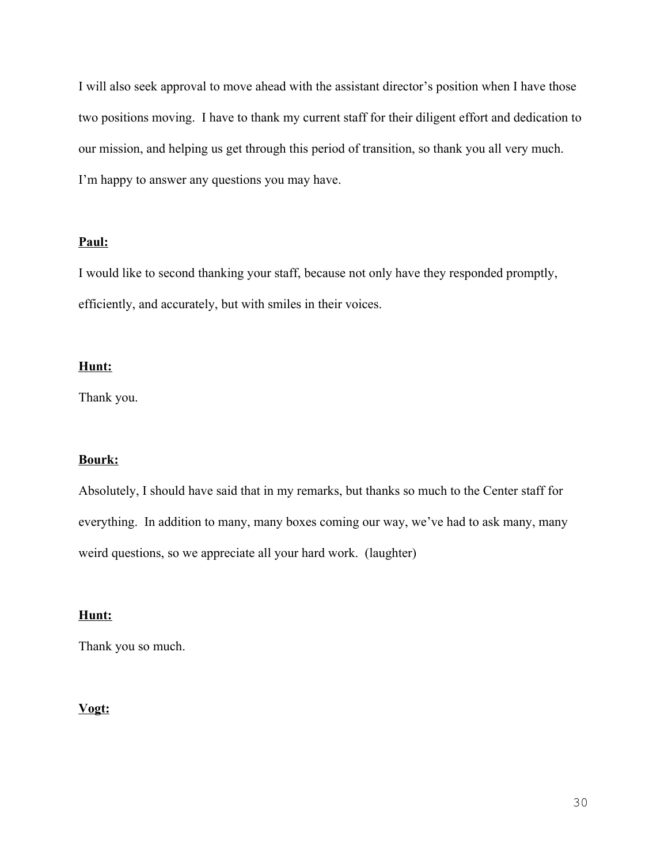I will also seek approval to move ahead with the assistant director's position when I have those two positions moving. I have to thank my current staff for their diligent effort and dedication to our mission, and helping us get through this period of transition, so thank you all very much. I'm happy to answer any questions you may have.

# **Paul:**

I would like to second thanking your staff, because not only have they responded promptly, efficiently, and accurately, but with smiles in their voices.

# **Hunt:**

Thank you.

# **Bourk:**

Absolutely, I should have said that in my remarks, but thanks so much to the Center staff for everything. In addition to many, many boxes coming our way, we've had to ask many, many weird questions, so we appreciate all your hard work. (laughter)

# **Hunt:**

Thank you so much.

# **Vogt:**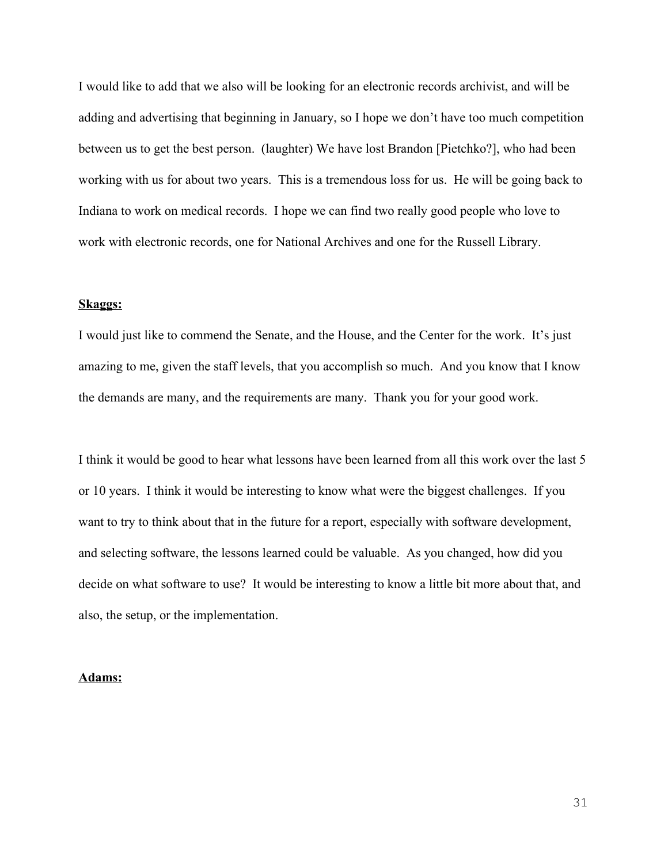I would like to add that we also will be looking for an electronic records archivist, and will be adding and advertising that beginning in January, so I hope we don't have too much competition between us to get the best person. (laughter) We have lost Brandon [Pietchko?], who had been working with us for about two years. This is a tremendous loss for us. He will be going back to Indiana to work on medical records. I hope we can find two really good people who love to work with electronic records, one for National Archives and one for the Russell Library.

## **Skaggs:**

I would just like to commend the Senate, and the House, and the Center for the work. It's just amazing to me, given the staff levels, that you accomplish so much. And you know that I know the demands are many, and the requirements are many. Thank you for your good work.

I think it would be good to hear what lessons have been learned from all this work over the last 5 or 10 years. I think it would be interesting to know what were the biggest challenges. If you want to try to think about that in the future for a report, especially with software development, and selecting software, the lessons learned could be valuable. As you changed, how did you decide on what software to use? It would be interesting to know a little bit more about that, and also, the setup, or the implementation.

## **Adams:**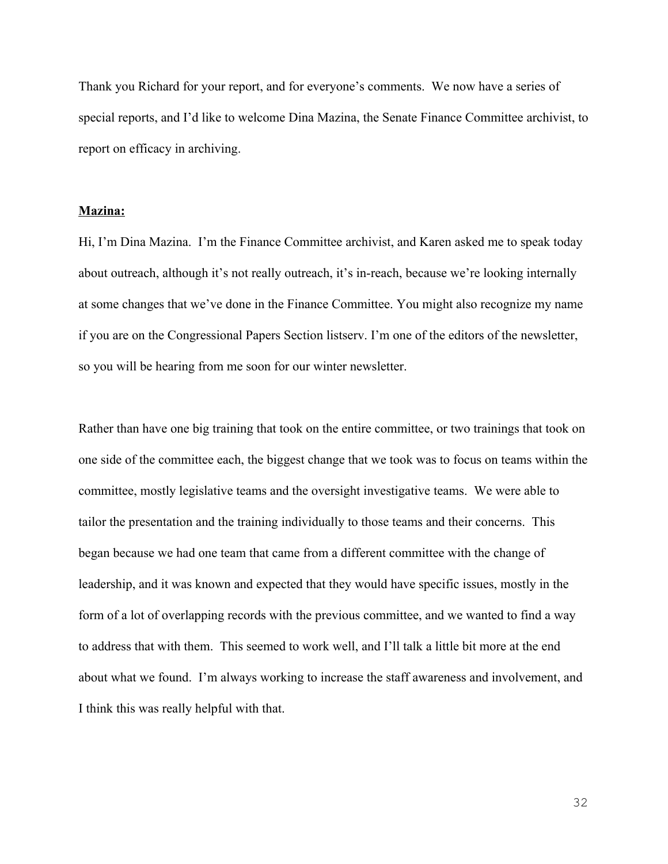Thank you Richard for your report, and for everyone's comments. We now have a series of special reports, and I'd like to welcome Dina Mazina, the Senate Finance Committee archivist, to report on efficacy in archiving.

#### **Mazina:**

Hi, I'm Dina Mazina. I'm the Finance Committee archivist, and Karen asked me to speak today about outreach, although it's not really outreach, it's in-reach, because we're looking internally at some changes that we've done in the Finance Committee. You might also recognize my name if you are on the Congressional Papers Section listserv. I'm one of the editors of the newsletter, so you will be hearing from me soon for our winter newsletter.

Rather than have one big training that took on the entire committee, or two trainings that took on one side of the committee each, the biggest change that we took was to focus on teams within the committee, mostly legislative teams and the oversight investigative teams. We were able to tailor the presentation and the training individually to those teams and their concerns. This began because we had one team that came from a different committee with the change of leadership, and it was known and expected that they would have specific issues, mostly in the form of a lot of overlapping records with the previous committee, and we wanted to find a way to address that with them. This seemed to work well, and I'll talk a little bit more at the end about what we found. I'm always working to increase the staff awareness and involvement, and I think this was really helpful with that.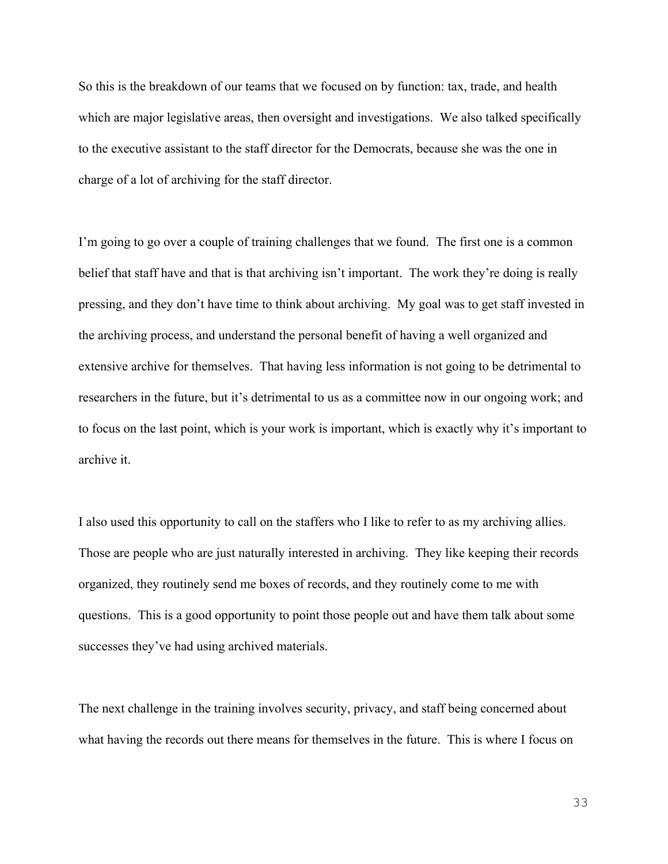So this is the breakdown of our teams that we focused on by function: tax, trade, and health which are major legislative areas, then oversight and investigations. We also talked specifically to the executive assistant to the staff director for the Democrats, because she was the one in charge of a lot of archiving for the staff director.

I'm going to go over a couple of training challenges that we found. The first one is a common belief that staff have and that is that archiving isn't important. The work they're doing is really pressing, and they don't have time to think about archiving. My goal was to get staff invested in the archiving process, and understand the personal benefit of having a well organized and extensive archive for themselves. That having less information is not going to be detrimental to researchers in the future, but it's detrimental to us as a committee now in our ongoing work; and to focus on the last point, which is your work is important, which is exactly why it's important to archive it.

I also used this opportunity to call on the staffers who I like to refer to as my archiving allies. Those are people who are just naturally interested in archiving. They like keeping their records organized, they routinely send me boxes of records, and they routinely come to me with questions. This is a good opportunity to point those people out and have them talk about some successes they've had using archived materials.

The next challenge in the training involves security, privacy, and staff being concerned about what having the records out there means for themselves in the future. This is where I focus on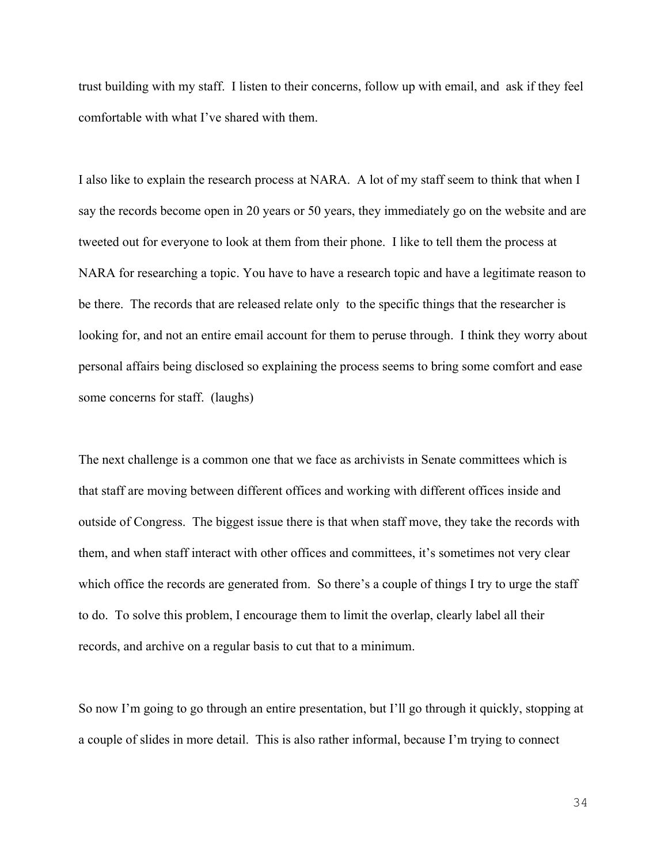trust building with my staff. I listen to their concerns, follow up with email, and ask if they feel comfortable with what I've shared with them.

I also like to explain the research process at NARA. A lot of my staff seem to think that when I say the records become open in 20 years or 50 years, they immediately go on the website and are tweeted out for everyone to look at them from their phone. I like to tell them the process at NARA for researching a topic. You have to have a research topic and have a legitimate reason to be there. The records that are released relate only to the specific things that the researcher is looking for, and not an entire email account for them to peruse through. I think they worry about personal affairs being disclosed so explaining the process seems to bring some comfort and ease some concerns for staff. (laughs)

The next challenge is a common one that we face as archivists in Senate committees which is that staff are moving between different offices and working with different offices inside and outside of Congress. The biggest issue there is that when staff move, they take the records with them, and when staff interact with other offices and committees, it's sometimes not very clear which office the records are generated from. So there's a couple of things I try to urge the staff to do. To solve this problem, I encourage them to limit the overlap, clearly label all their records, and archive on a regular basis to cut that to a minimum.

So now I'm going to go through an entire presentation, but I'll go through it quickly, stopping at a couple of slides in more detail. This is also rather informal, because I'm trying to connect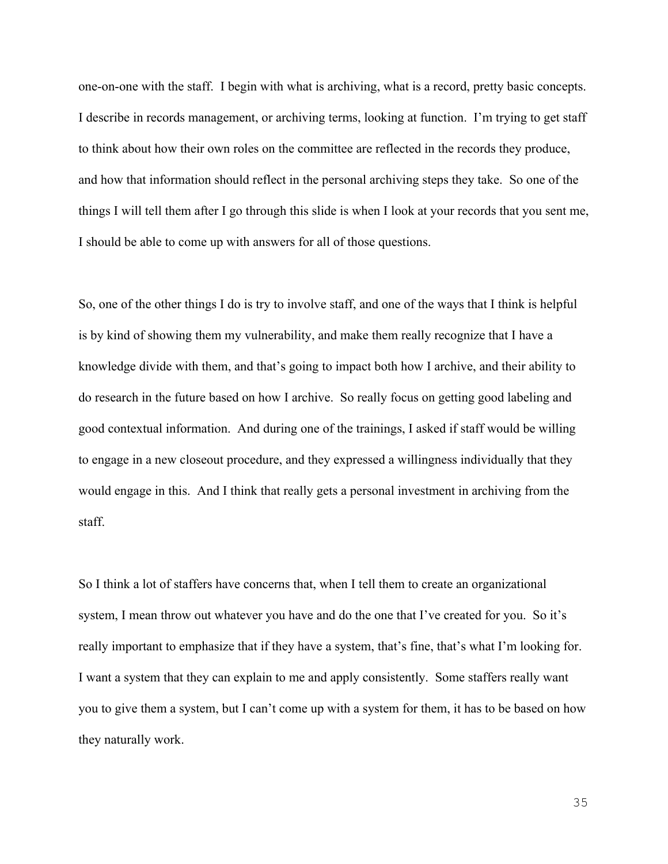one-on-one with the staff. I begin with what is archiving, what is a record, pretty basic concepts. I describe in records management, or archiving terms, looking at function. I'm trying to get staff to think about how their own roles on the committee are reflected in the records they produce, and how that information should reflect in the personal archiving steps they take. So one of the things I will tell them after I go through this slide is when I look at your records that you sent me, I should be able to come up with answers for all of those questions.

So, one of the other things I do is try to involve staff, and one of the ways that I think is helpful is by kind of showing them my vulnerability, and make them really recognize that I have a knowledge divide with them, and that's going to impact both how I archive, and their ability to do research in the future based on how I archive. So really focus on getting good labeling and good contextual information. And during one of the trainings, I asked if staff would be willing to engage in a new closeout procedure, and they expressed a willingness individually that they would engage in this. And I think that really gets a personal investment in archiving from the staff.

So I think a lot of staffers have concerns that, when I tell them to create an organizational system, I mean throw out whatever you have and do the one that I've created for you. So it's really important to emphasize that if they have a system, that's fine, that's what I'm looking for. I want a system that they can explain to me and apply consistently. Some staffers really want you to give them a system, but I can't come up with a system for them, it has to be based on how they naturally work.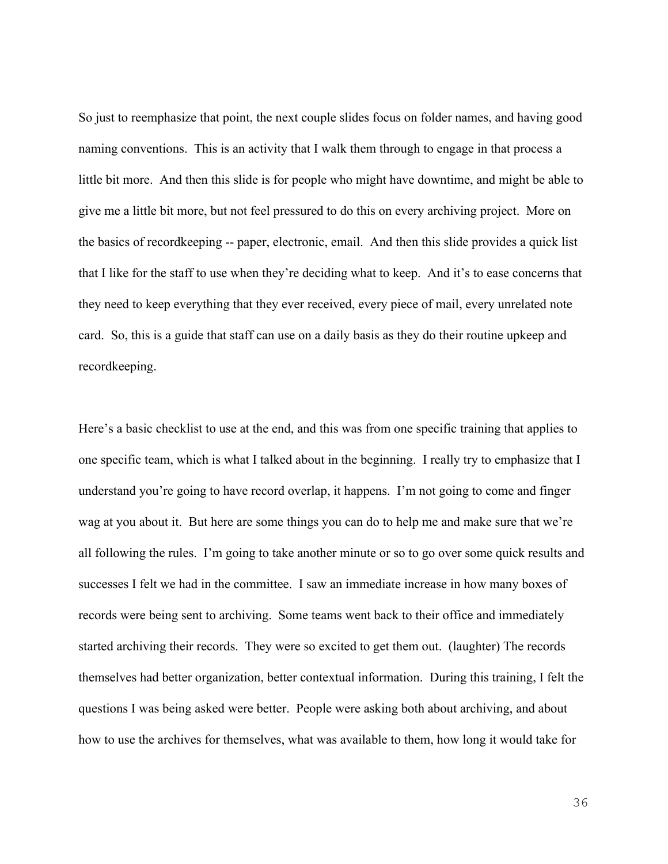So just to reemphasize that point, the next couple slides focus on folder names, and having good naming conventions. This is an activity that I walk them through to engage in that process a little bit more. And then this slide is for people who might have downtime, and might be able to give me a little bit more, but not feel pressured to do this on every archiving project. More on the basics of recordkeeping -- paper, electronic, email. And then this slide provides a quick list that I like for the staff to use when they're deciding what to keep. And it's to ease concerns that they need to keep everything that they ever received, every piece of mail, every unrelated note card. So, this is a guide that staff can use on a daily basis as they do their routine upkeep and recordkeeping.

Here's a basic checklist to use at the end, and this was from one specific training that applies to one specific team, which is what I talked about in the beginning. I really try to emphasize that I understand you're going to have record overlap, it happens. I'm not going to come and finger wag at you about it. But here are some things you can do to help me and make sure that we're all following the rules. I'm going to take another minute or so to go over some quick results and successes I felt we had in the committee. I saw an immediate increase in how many boxes of records were being sent to archiving. Some teams went back to their office and immediately started archiving their records. They were so excited to get them out. (laughter) The records themselves had better organization, better contextual information. During this training, I felt the questions I was being asked were better. People were asking both about archiving, and about how to use the archives for themselves, what was available to them, how long it would take for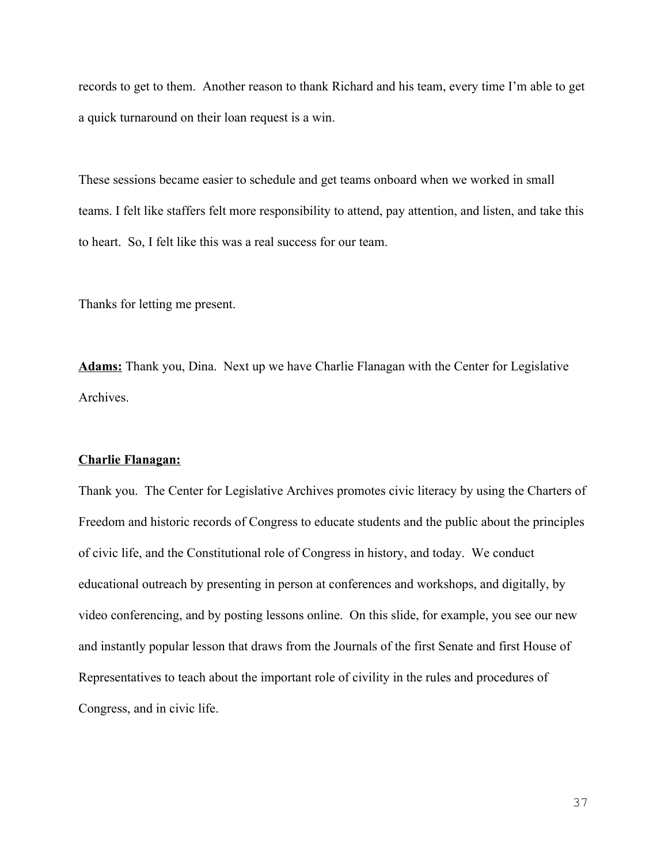records to get to them. Another reason to thank Richard and his team, every time I'm able to get a quick turnaround on their loan request is a win.

These sessions became easier to schedule and get teams onboard when we worked in small teams. I felt like staffers felt more responsibility to attend, pay attention, and listen, and take this to heart. So, I felt like this was a real success for our team.

Thanks for letting me present.

**Adams:** Thank you, Dina. Next up we have Charlie Flanagan with the Center for Legislative Archives.

#### **Charlie Flanagan:**

Thank you. The Center for Legislative Archives promotes civic literacy by using the Charters of Freedom and historic records of Congress to educate students and the public about the principles of civic life, and the Constitutional role of Congress in history, and today. We conduct educational outreach by presenting in person at conferences and workshops, and digitally, by video conferencing, and by posting lessons online. On this slide, for example, you see our new and instantly popular lesson that draws from the Journals of the first Senate and first House of Representatives to teach about the important role of civility in the rules and procedures of Congress, and in civic life.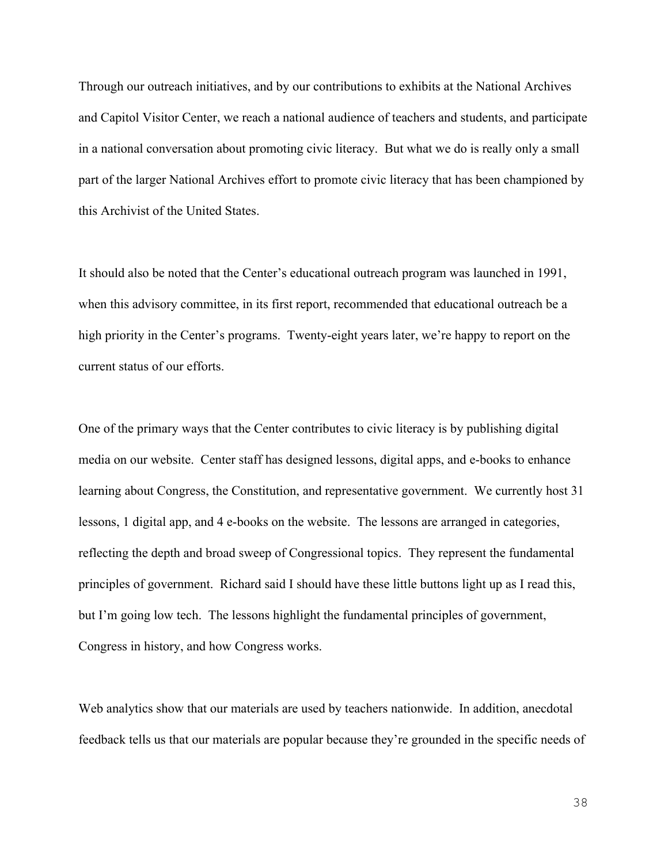Through our outreach initiatives, and by our contributions to exhibits at the National Archives and Capitol Visitor Center, we reach a national audience of teachers and students, and participate in a national conversation about promoting civic literacy. But what we do is really only a small part of the larger National Archives effort to promote civic literacy that has been championed by this Archivist of the United States.

It should also be noted that the Center's educational outreach program was launched in 1991, when this advisory committee, in its first report, recommended that educational outreach be a high priority in the Center's programs. Twenty-eight years later, we're happy to report on the current status of our efforts.

One of the primary ways that the Center contributes to civic literacy is by publishing digital media on our website. Center staff has designed lessons, digital apps, and e-books to enhance learning about Congress, the Constitution, and representative government. We currently host 31 lessons, 1 digital app, and 4 e-books on the website. The lessons are arranged in categories, reflecting the depth and broad sweep of Congressional topics. They represent the fundamental principles of government. Richard said I should have these little buttons light up as I read this, but I'm going low tech. The lessons highlight the fundamental principles of government, Congress in history, and how Congress works.

Web analytics show that our materials are used by teachers nationwide. In addition, anecdotal feedback tells us that our materials are popular because they're grounded in the specific needs of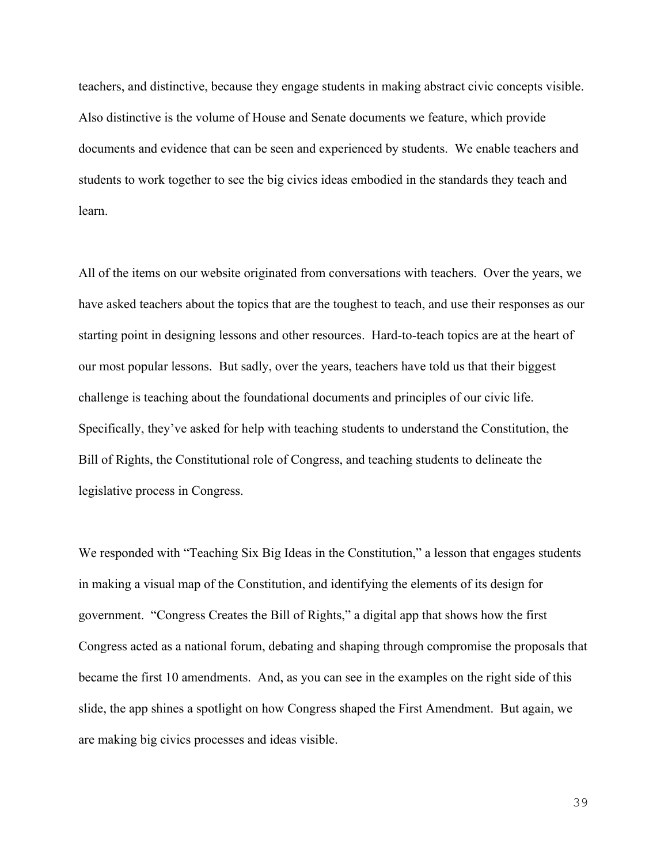teachers, and distinctive, because they engage students in making abstract civic concepts visible. Also distinctive is the volume of House and Senate documents we feature, which provide documents and evidence that can be seen and experienced by students. We enable teachers and students to work together to see the big civics ideas embodied in the standards they teach and learn.

All of the items on our website originated from conversations with teachers. Over the years, we have asked teachers about the topics that are the toughest to teach, and use their responses as our starting point in designing lessons and other resources. Hard-to-teach topics are at the heart of our most popular lessons. But sadly, over the years, teachers have told us that their biggest challenge is teaching about the foundational documents and principles of our civic life. Specifically, they've asked for help with teaching students to understand the Constitution, the Bill of Rights, the Constitutional role of Congress, and teaching students to delineate the legislative process in Congress.

We responded with "Teaching Six Big Ideas in the Constitution," a lesson that engages students in making a visual map of the Constitution, and identifying the elements of its design for government. "Congress Creates the Bill of Rights," a digital app that shows how the first Congress acted as a national forum, debating and shaping through compromise the proposals that became the first 10 amendments. And, as you can see in the examples on the right side of this slide, the app shines a spotlight on how Congress shaped the First Amendment. But again, we are making big civics processes and ideas visible.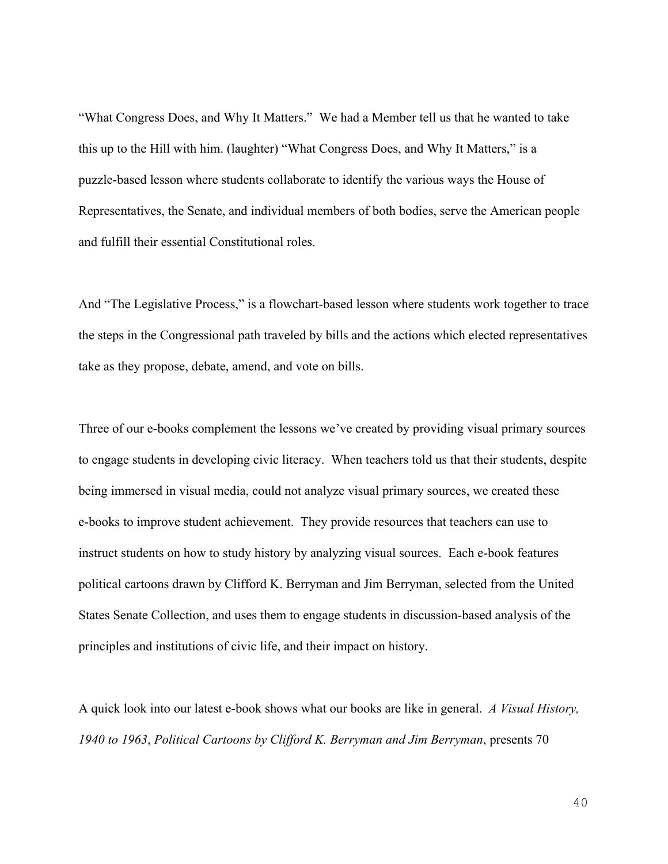"What Congress Does, and Why It Matters." We had a Member tell us that he wanted to take this up to the Hill with him. (laughter) "What Congress Does, and Why It Matters," is a puzzle-based lesson where students collaborate to identify the various ways the House of Representatives, the Senate, and individual members of both bodies, serve the American people and fulfill their essential Constitutional roles.

And "The Legislative Process," is a flowchart-based lesson where students work together to trace the steps in the Congressional path traveled by bills and the actions which elected representatives take as they propose, debate, amend, and vote on bills.

Three of our e-books complement the lessons we've created by providing visual primary sources to engage students in developing civic literacy. When teachers told us that their students, despite being immersed in visual media, could not analyze visual primary sources, we created these e-books to improve student achievement. They provide resources that teachers can use to instruct students on how to study history by analyzing visual sources. Each e-book features political cartoons drawn by Clifford K. Berryman and Jim Berryman, selected from the United States Senate Collection, and uses them to engage students in discussion-based analysis of the principles and institutions of civic life, and their impact on history.

A quick look into our latest e-book shows what our books are like in general. *A Visual History, 1940 to 1963*, *Political Cartoons by Clifford K. Berryman and Jim Berryman*, presents 70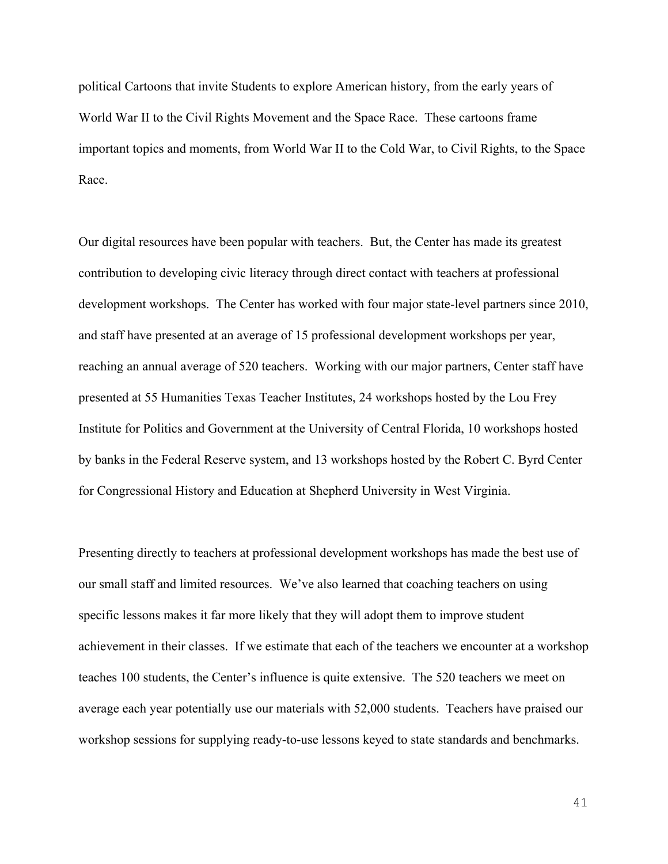political Cartoons that invite Students to explore American history, from the early years of World War II to the Civil Rights Movement and the Space Race. These cartoons frame important topics and moments, from World War II to the Cold War, to Civil Rights, to the Space Race.

Our digital resources have been popular with teachers. But, the Center has made its greatest contribution to developing civic literacy through direct contact with teachers at professional development workshops. The Center has worked with four major state-level partners since 2010, and staff have presented at an average of 15 professional development workshops per year, reaching an annual average of 520 teachers. Working with our major partners, Center staff have presented at 55 Humanities Texas Teacher Institutes, 24 workshops hosted by the Lou Frey Institute for Politics and Government at the University of Central Florida, 10 workshops hosted by banks in the Federal Reserve system, and 13 workshops hosted by the Robert C. Byrd Center for Congressional History and Education at Shepherd University in West Virginia.

Presenting directly to teachers at professional development workshops has made the best use of our small staff and limited resources. We've also learned that coaching teachers on using specific lessons makes it far more likely that they will adopt them to improve student achievement in their classes. If we estimate that each of the teachers we encounter at a workshop teaches 100 students, the Center's influence is quite extensive. The 520 teachers we meet on average each year potentially use our materials with 52,000 students. Teachers have praised our workshop sessions for supplying ready-to-use lessons keyed to state standards and benchmarks.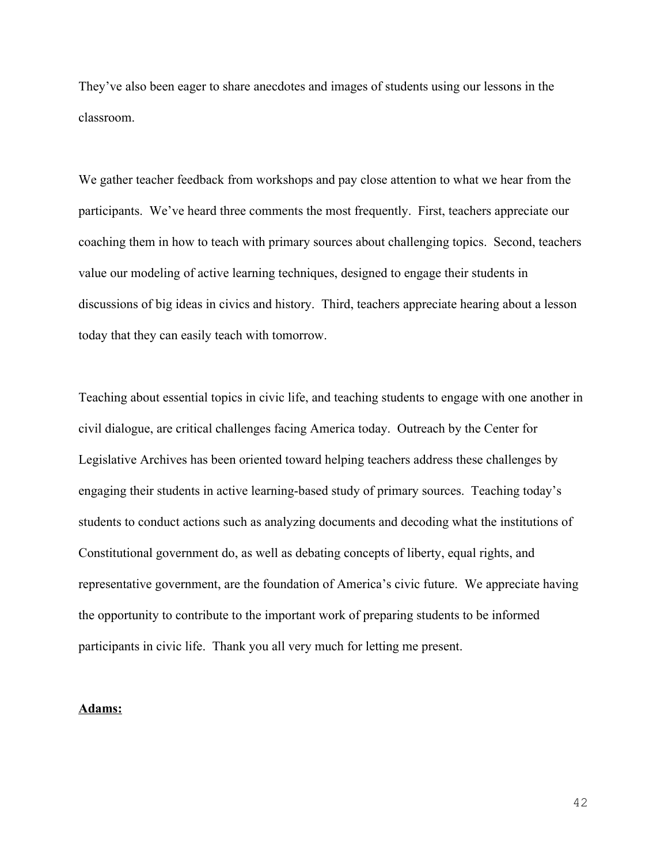They've also been eager to share anecdotes and images of students using our lessons in the classroom.

We gather teacher feedback from workshops and pay close attention to what we hear from the participants. We've heard three comments the most frequently. First, teachers appreciate our coaching them in how to teach with primary sources about challenging topics. Second, teachers value our modeling of active learning techniques, designed to engage their students in discussions of big ideas in civics and history. Third, teachers appreciate hearing about a lesson today that they can easily teach with tomorrow.

Teaching about essential topics in civic life, and teaching students to engage with one another in civil dialogue, are critical challenges facing America today. Outreach by the Center for Legislative Archives has been oriented toward helping teachers address these challenges by engaging their students in active learning-based study of primary sources. Teaching today's students to conduct actions such as analyzing documents and decoding what the institutions of Constitutional government do, as well as debating concepts of liberty, equal rights, and representative government, are the foundation of America's civic future. We appreciate having the opportunity to contribute to the important work of preparing students to be informed participants in civic life. Thank you all very much for letting me present.

## **Adams:**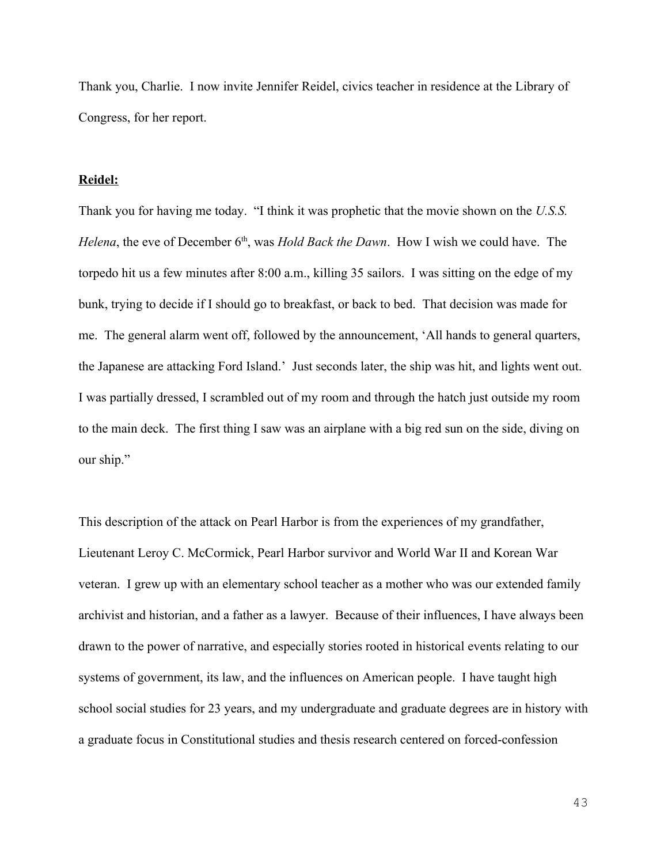Thank you, Charlie. I now invite Jennifer Reidel, civics teacher in residence at the Library of Congress, for her report.

## **Reidel:**

Thank you for having me today. "I think it was prophetic that the movie shown on the *U.S.S. Helena*, the eve of December 6<sup>th</sup>, was *Hold Back the Dawn*. How I wish we could have. The torpedo hit us a few minutes after 8:00 a.m., killing 35 sailors. I was sitting on the edge of my bunk, trying to decide if I should go to breakfast, or back to bed. That decision was made for me. The general alarm went off, followed by the announcement, 'All hands to general quarters, the Japanese are attacking Ford Island.' Just seconds later, the ship was hit, and lights went out. I was partially dressed, I scrambled out of my room and through the hatch just outside my room to the main deck. The first thing I saw was an airplane with a big red sun on the side, diving on our ship."

This description of the attack on Pearl Harbor is from the experiences of my grandfather, Lieutenant Leroy C. McCormick, Pearl Harbor survivor and World War II and Korean War veteran. I grew up with an elementary school teacher as a mother who was our extended family archivist and historian, and a father as a lawyer. Because of their influences, I have always been drawn to the power of narrative, and especially stories rooted in historical events relating to our systems of government, its law, and the influences on American people. I have taught high school social studies for 23 years, and my undergraduate and graduate degrees are in history with a graduate focus in Constitutional studies and thesis research centered on forced-confession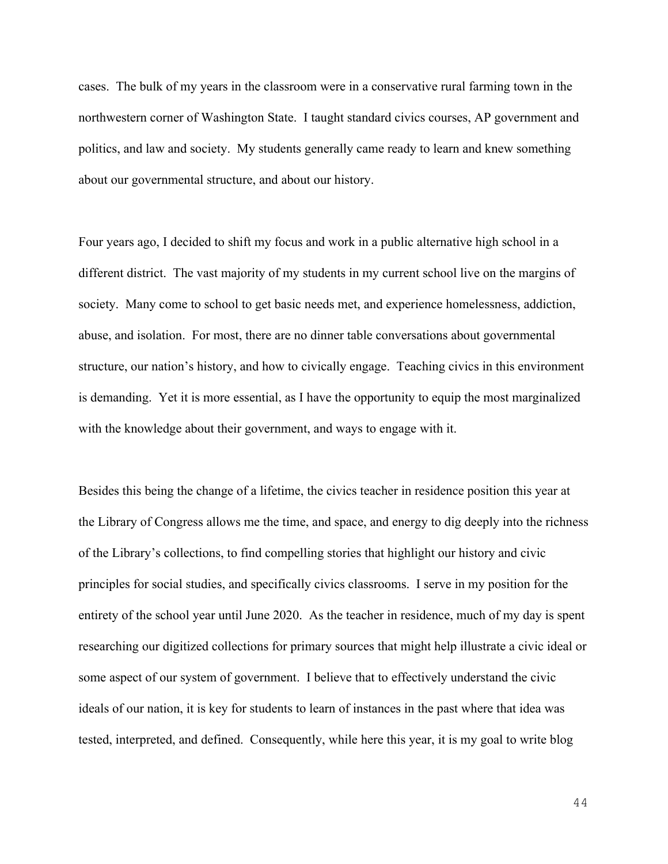cases. The bulk of my years in the classroom were in a conservative rural farming town in the northwestern corner of Washington State. I taught standard civics courses, AP government and politics, and law and society. My students generally came ready to learn and knew something about our governmental structure, and about our history.

Four years ago, I decided to shift my focus and work in a public alternative high school in a different district. The vast majority of my students in my current school live on the margins of society. Many come to school to get basic needs met, and experience homelessness, addiction, abuse, and isolation. For most, there are no dinner table conversations about governmental structure, our nation's history, and how to civically engage. Teaching civics in this environment is demanding. Yet it is more essential, as I have the opportunity to equip the most marginalized with the knowledge about their government, and ways to engage with it.

Besides this being the change of a lifetime, the civics teacher in residence position this year at the Library of Congress allows me the time, and space, and energy to dig deeply into the richness of the Library's collections, to find compelling stories that highlight our history and civic principles for social studies, and specifically civics classrooms. I serve in my position for the entirety of the school year until June 2020. As the teacher in residence, much of my day is spent researching our digitized collections for primary sources that might help illustrate a civic ideal or some aspect of our system of government. I believe that to effectively understand the civic ideals of our nation, it is key for students to learn of instances in the past where that idea was tested, interpreted, and defined. Consequently, while here this year, it is my goal to write blog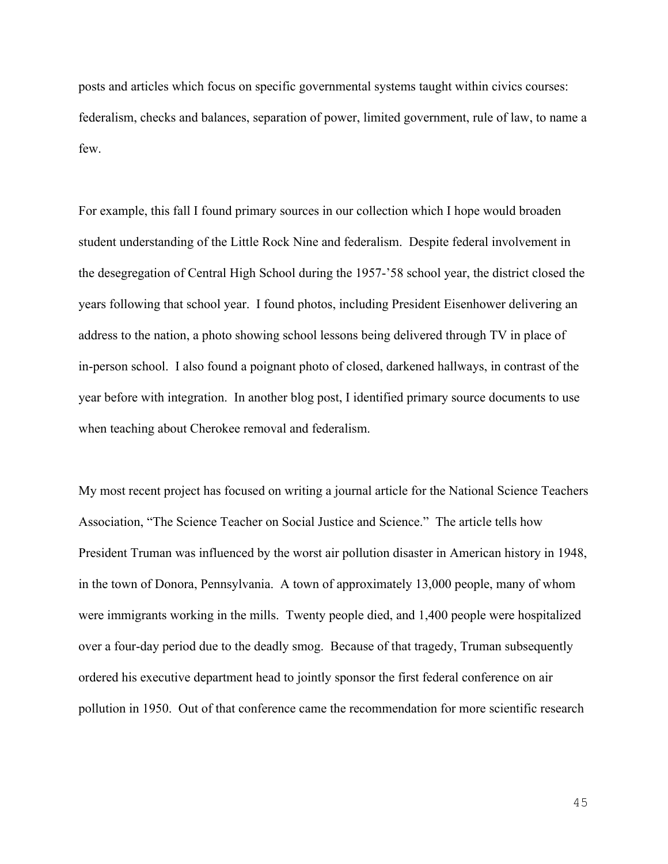posts and articles which focus on specific governmental systems taught within civics courses: federalism, checks and balances, separation of power, limited government, rule of law, to name a few.

For example, this fall I found primary sources in our collection which I hope would broaden student understanding of the Little Rock Nine and federalism. Despite federal involvement in the desegregation of Central High School during the 1957-'58 school year, the district closed the years following that school year. I found photos, including President Eisenhower delivering an address to the nation, a photo showing school lessons being delivered through TV in place of in-person school. I also found a poignant photo of closed, darkened hallways, in contrast of the year before with integration. In another blog post, I identified primary source documents to use when teaching about Cherokee removal and federalism.

My most recent project has focused on writing a journal article for the National Science Teachers Association, "The Science Teacher on Social Justice and Science." The article tells how President Truman was influenced by the worst air pollution disaster in American history in 1948, in the town of Donora, Pennsylvania. A town of approximately 13,000 people, many of whom were immigrants working in the mills. Twenty people died, and 1,400 people were hospitalized over a four-day period due to the deadly smog. Because of that tragedy, Truman subsequently ordered his executive department head to jointly sponsor the first federal conference on air pollution in 1950. Out of that conference came the recommendation for more scientific research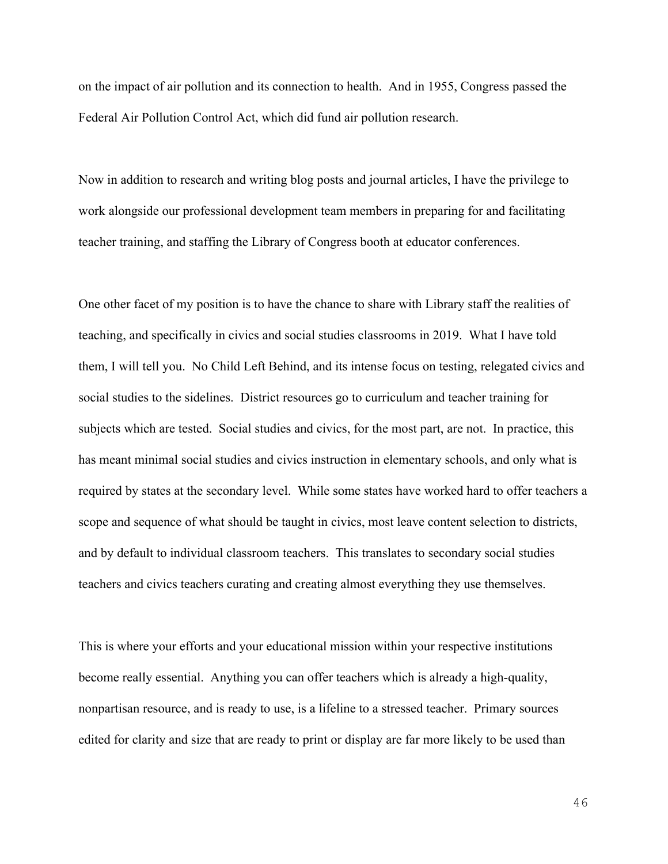on the impact of air pollution and its connection to health. And in 1955, Congress passed the Federal Air Pollution Control Act, which did fund air pollution research.

Now in addition to research and writing blog posts and journal articles, I have the privilege to work alongside our professional development team members in preparing for and facilitating teacher training, and staffing the Library of Congress booth at educator conferences.

One other facet of my position is to have the chance to share with Library staff the realities of teaching, and specifically in civics and social studies classrooms in 2019. What I have told them, I will tell you. No Child Left Behind, and its intense focus on testing, relegated civics and social studies to the sidelines. District resources go to curriculum and teacher training for subjects which are tested. Social studies and civics, for the most part, are not. In practice, this has meant minimal social studies and civics instruction in elementary schools, and only what is required by states at the secondary level. While some states have worked hard to offer teachers a scope and sequence of what should be taught in civics, most leave content selection to districts, and by default to individual classroom teachers. This translates to secondary social studies teachers and civics teachers curating and creating almost everything they use themselves.

This is where your efforts and your educational mission within your respective institutions become really essential. Anything you can offer teachers which is already a high-quality, nonpartisan resource, and is ready to use, is a lifeline to a stressed teacher. Primary sources edited for clarity and size that are ready to print or display are far more likely to be used than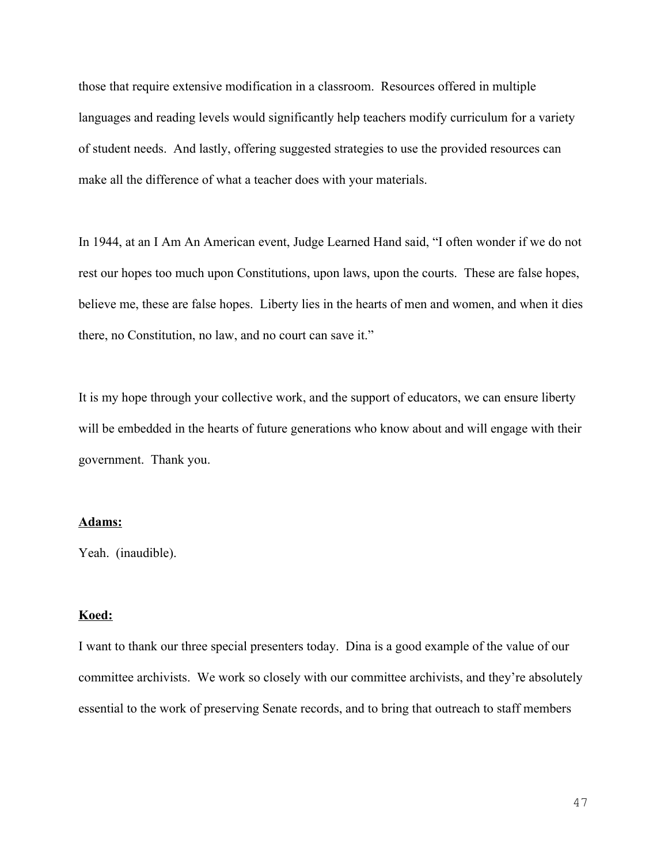those that require extensive modification in a classroom. Resources offered in multiple languages and reading levels would significantly help teachers modify curriculum for a variety of student needs. And lastly, offering suggested strategies to use the provided resources can make all the difference of what a teacher does with your materials.

In 1944, at an I Am An American event, Judge Learned Hand said, "I often wonder if we do not rest our hopes too much upon Constitutions, upon laws, upon the courts. These are false hopes, believe me, these are false hopes. Liberty lies in the hearts of men and women, and when it dies there, no Constitution, no law, and no court can save it."

It is my hope through your collective work, and the support of educators, we can ensure liberty will be embedded in the hearts of future generations who know about and will engage with their government. Thank you.

## **Adams:**

Yeah. (inaudible).

## **Koed:**

I want to thank our three special presenters today. Dina is a good example of the value of our committee archivists. We work so closely with our committee archivists, and they're absolutely essential to the work of preserving Senate records, and to bring that outreach to staff members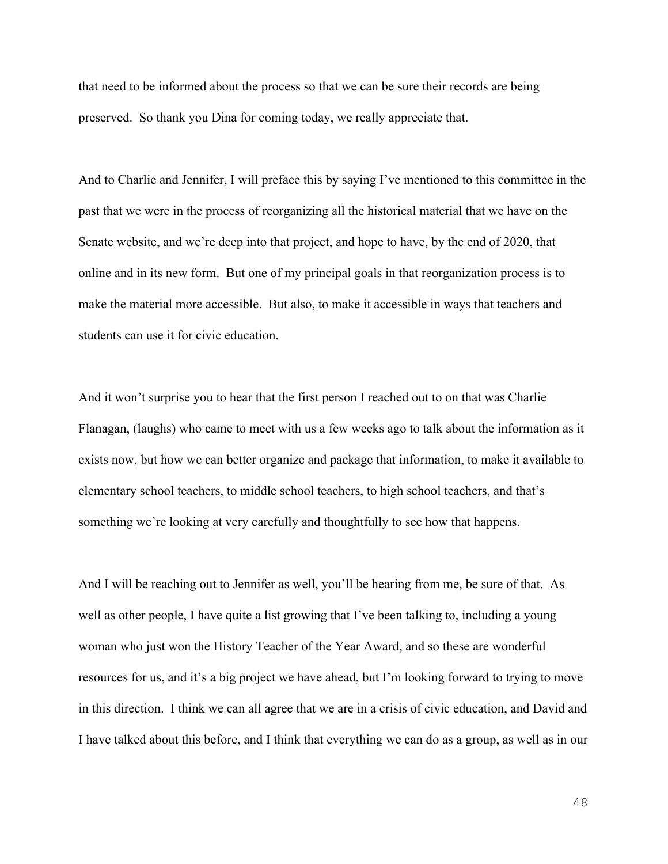that need to be informed about the process so that we can be sure their records are being preserved. So thank you Dina for coming today, we really appreciate that.

And to Charlie and Jennifer, I will preface this by saying I've mentioned to this committee in the past that we were in the process of reorganizing all the historical material that we have on the Senate website, and we're deep into that project, and hope to have, by the end of 2020, that online and in its new form. But one of my principal goals in that reorganization process is to make the material more accessible. But also, to make it accessible in ways that teachers and students can use it for civic education.

And it won't surprise you to hear that the first person I reached out to on that was Charlie Flanagan, (laughs) who came to meet with us a few weeks ago to talk about the information as it exists now, but how we can better organize and package that information, to make it available to elementary school teachers, to middle school teachers, to high school teachers, and that's something we're looking at very carefully and thoughtfully to see how that happens.

And I will be reaching out to Jennifer as well, you'll be hearing from me, be sure of that. As well as other people, I have quite a list growing that I've been talking to, including a young woman who just won the History Teacher of the Year Award, and so these are wonderful resources for us, and it's a big project we have ahead, but I'm looking forward to trying to move in this direction. I think we can all agree that we are in a crisis of civic education, and David and I have talked about this before, and I think that everything we can do as a group, as well as in our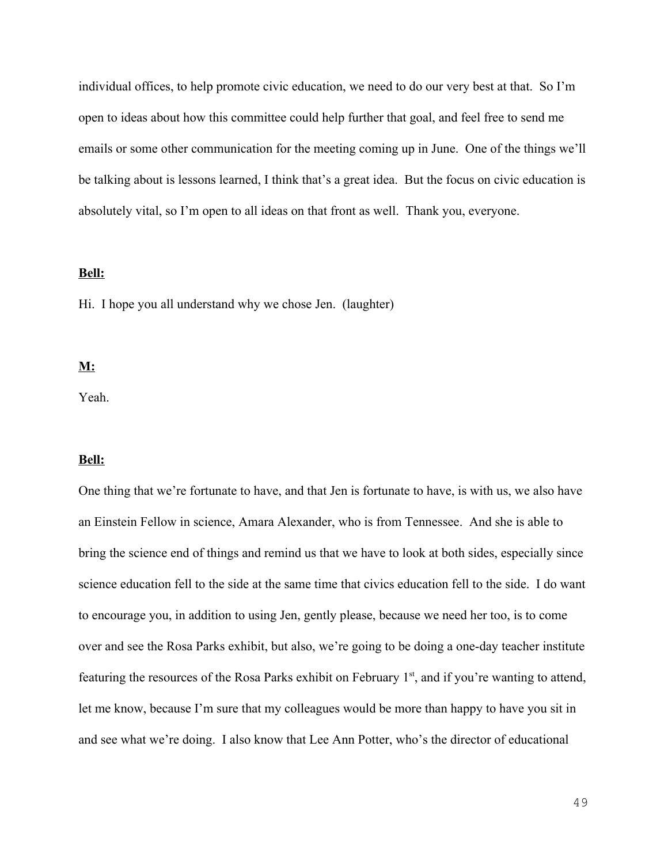individual offices, to help promote civic education, we need to do our very best at that. So I'm open to ideas about how this committee could help further that goal, and feel free to send me emails or some other communication for the meeting coming up in June. One of the things we'll be talking about is lessons learned, I think that's a great idea. But the focus on civic education is absolutely vital, so I'm open to all ideas on that front as well. Thank you, everyone.

#### **Bell:**

Hi. I hope you all understand why we chose Jen. (laughter)

## **M:**

Yeah.

#### **Bell:**

One thing that we're fortunate to have, and that Jen is fortunate to have, is with us, we also have an Einstein Fellow in science, Amara Alexander, who is from Tennessee. And she is able to bring the science end of things and remind us that we have to look at both sides, especially since science education fell to the side at the same time that civics education fell to the side. I do want to encourage you, in addition to using Jen, gently please, because we need her too, is to come over and see the Rosa Parks exhibit, but also, we're going to be doing a one-day teacher institute featuring the resources of the Rosa Parks exhibit on February 1<sup>st</sup>, and if you're wanting to attend, let me know, because I'm sure that my colleagues would be more than happy to have you sit in and see what we're doing. I also know that Lee Ann Potter, who's the director of educational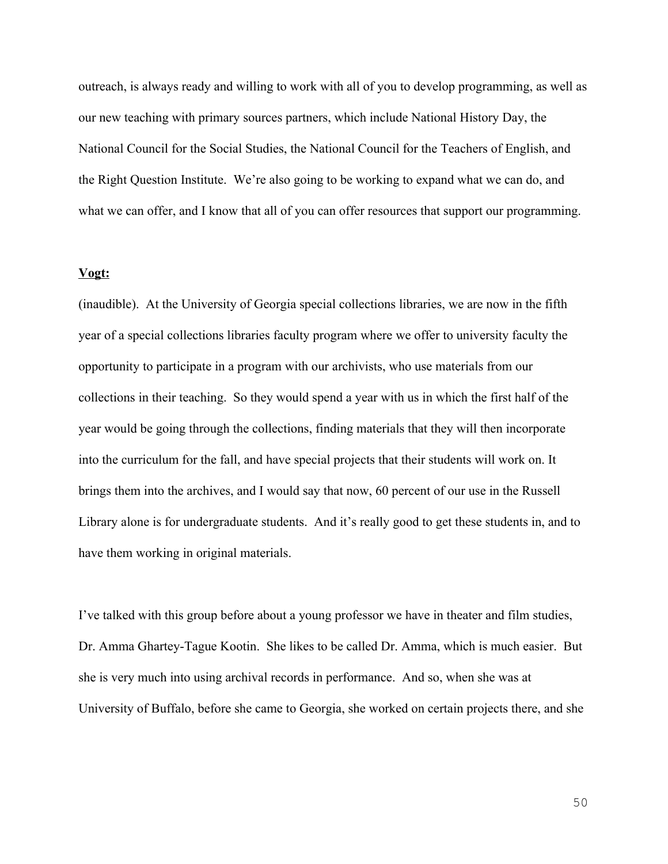outreach, is always ready and willing to work with all of you to develop programming, as well as our new teaching with primary sources partners, which include National History Day, the National Council for the Social Studies, the National Council for the Teachers of English, and the Right Question Institute. We're also going to be working to expand what we can do, and what we can offer, and I know that all of you can offer resources that support our programming.

#### **Vogt:**

(inaudible). At the University of Georgia special collections libraries, we are now in the fifth year of a special collections libraries faculty program where we offer to university faculty the opportunity to participate in a program with our archivists, who use materials from our collections in their teaching. So they would spend a year with us in which the first half of the year would be going through the collections, finding materials that they will then incorporate into the curriculum for the fall, and have special projects that their students will work on. It brings them into the archives, and I would say that now, 60 percent of our use in the Russell Library alone is for undergraduate students. And it's really good to get these students in, and to have them working in original materials.

I've talked with this group before about a young professor we have in theater and film studies, Dr. Amma Ghartey-Tague Kootin. She likes to be called Dr. Amma, which is much easier. But she is very much into using archival records in performance. And so, when she was at University of Buffalo, before she came to Georgia, she worked on certain projects there, and she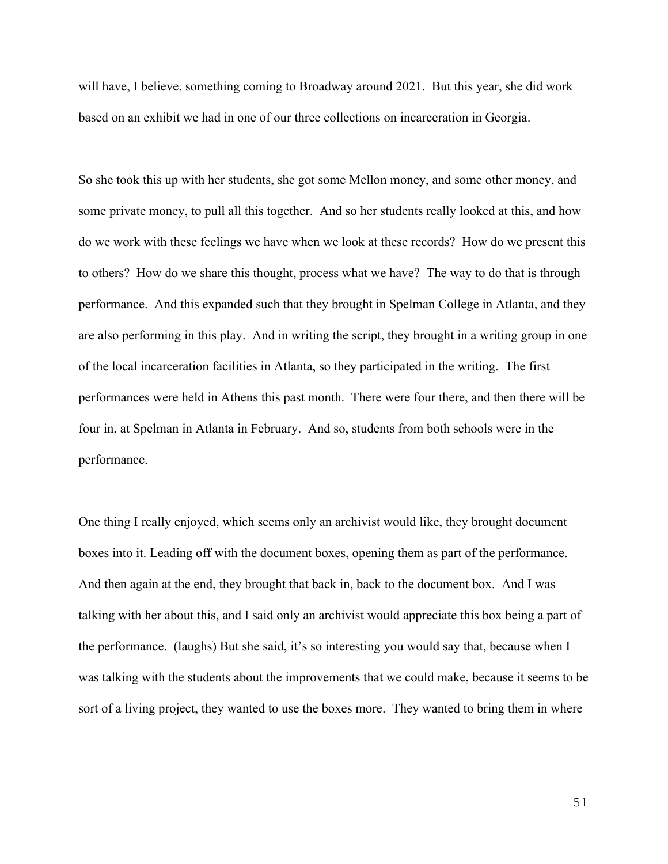will have, I believe, something coming to Broadway around 2021. But this year, she did work based on an exhibit we had in one of our three collections on incarceration in Georgia.

So she took this up with her students, she got some Mellon money, and some other money, and some private money, to pull all this together. And so her students really looked at this, and how do we work with these feelings we have when we look at these records? How do we present this to others? How do we share this thought, process what we have? The way to do that is through performance. And this expanded such that they brought in Spelman College in Atlanta, and they are also performing in this play. And in writing the script, they brought in a writing group in one of the local incarceration facilities in Atlanta, so they participated in the writing. The first performances were held in Athens this past month. There were four there, and then there will be four in, at Spelman in Atlanta in February. And so, students from both schools were in the performance.

One thing I really enjoyed, which seems only an archivist would like, they brought document boxes into it. Leading off with the document boxes, opening them as part of the performance. And then again at the end, they brought that back in, back to the document box. And I was talking with her about this, and I said only an archivist would appreciate this box being a part of the performance. (laughs) But she said, it's so interesting you would say that, because when I was talking with the students about the improvements that we could make, because it seems to be sort of a living project, they wanted to use the boxes more. They wanted to bring them in where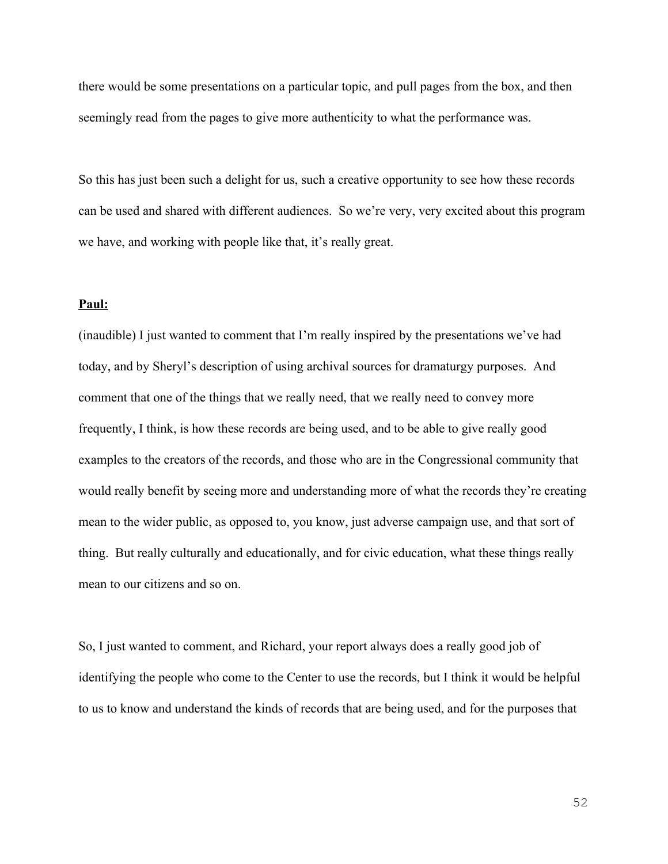there would be some presentations on a particular topic, and pull pages from the box, and then seemingly read from the pages to give more authenticity to what the performance was.

So this has just been such a delight for us, such a creative opportunity to see how these records can be used and shared with different audiences. So we're very, very excited about this program we have, and working with people like that, it's really great.

## **Paul:**

(inaudible) I just wanted to comment that I'm really inspired by the presentations we've had today, and by Sheryl's description of using archival sources for dramaturgy purposes. And comment that one of the things that we really need, that we really need to convey more frequently, I think, is how these records are being used, and to be able to give really good examples to the creators of the records, and those who are in the Congressional community that would really benefit by seeing more and understanding more of what the records they're creating mean to the wider public, as opposed to, you know, just adverse campaign use, and that sort of thing. But really culturally and educationally, and for civic education, what these things really mean to our citizens and so on.

So, I just wanted to comment, and Richard, your report always does a really good job of identifying the people who come to the Center to use the records, but I think it would be helpful to us to know and understand the kinds of records that are being used, and for the purposes that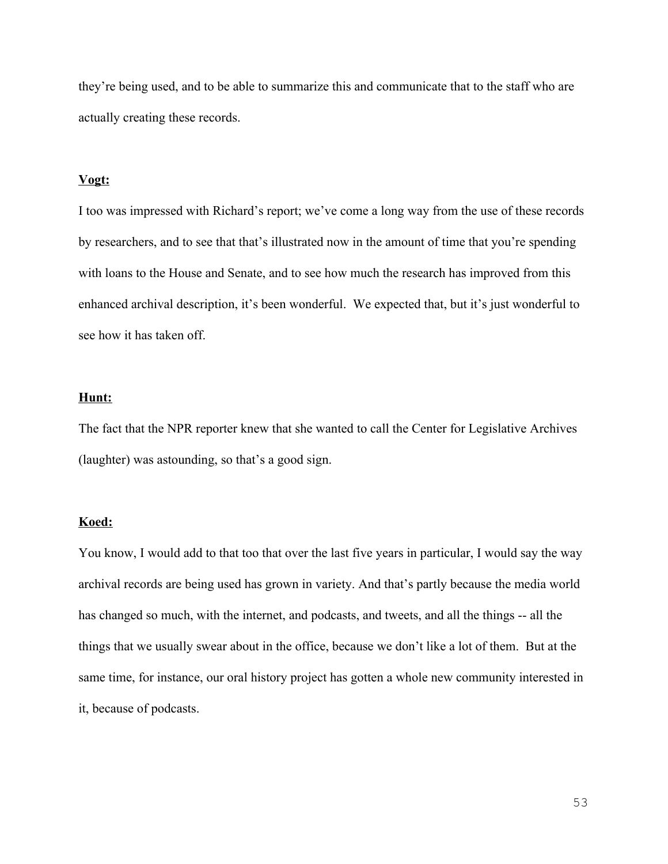they're being used, and to be able to summarize this and communicate that to the staff who are actually creating these records.

## **Vogt:**

I too was impressed with Richard's report; we've come a long way from the use of these records by researchers, and to see that that's illustrated now in the amount of time that you're spending with loans to the House and Senate, and to see how much the research has improved from this enhanced archival description, it's been wonderful. We expected that, but it's just wonderful to see how it has taken off.

## **Hunt:**

The fact that the NPR reporter knew that she wanted to call the Center for Legislative Archives (laughter) was astounding, so that's a good sign.

#### **Koed:**

You know, I would add to that too that over the last five years in particular, I would say the way archival records are being used has grown in variety. And that's partly because the media world has changed so much, with the internet, and podcasts, and tweets, and all the things -- all the things that we usually swear about in the office, because we don't like a lot of them. But at the same time, for instance, our oral history project has gotten a whole new community interested in it, because of podcasts.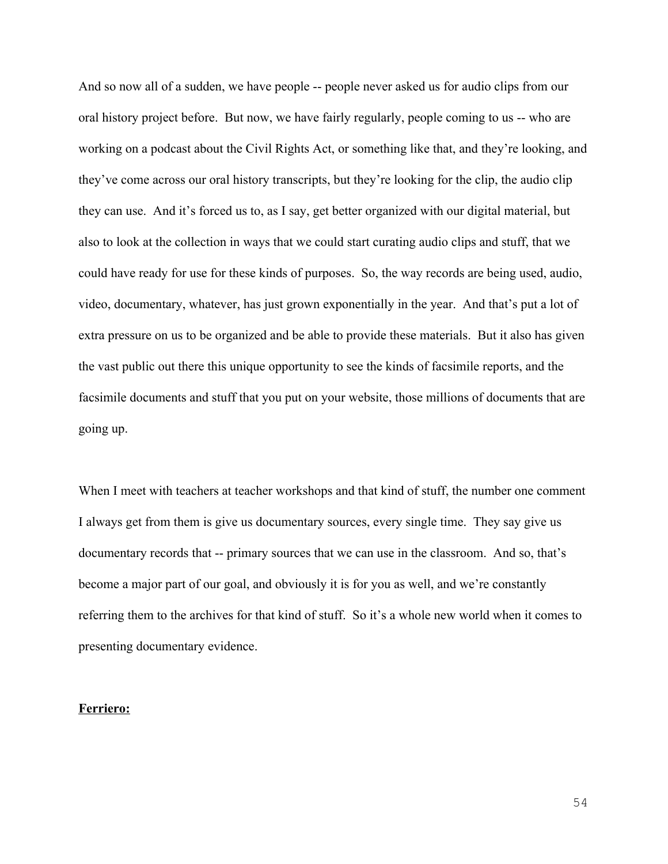And so now all of a sudden, we have people -- people never asked us for audio clips from our oral history project before. But now, we have fairly regularly, people coming to us -- who are working on a podcast about the Civil Rights Act, or something like that, and they're looking, and they've come across our oral history transcripts, but they're looking for the clip, the audio clip they can use. And it's forced us to, as I say, get better organized with our digital material, but also to look at the collection in ways that we could start curating audio clips and stuff, that we could have ready for use for these kinds of purposes. So, the way records are being used, audio, video, documentary, whatever, has just grown exponentially in the year. And that's put a lot of extra pressure on us to be organized and be able to provide these materials. But it also has given the vast public out there this unique opportunity to see the kinds of facsimile reports, and the facsimile documents and stuff that you put on your website, those millions of documents that are going up.

When I meet with teachers at teacher workshops and that kind of stuff, the number one comment I always get from them is give us documentary sources, every single time. They say give us documentary records that -- primary sources that we can use in the classroom. And so, that's become a major part of our goal, and obviously it is for you as well, and we're constantly referring them to the archives for that kind of stuff. So it's a whole new world when it comes to presenting documentary evidence.

## **Ferriero:**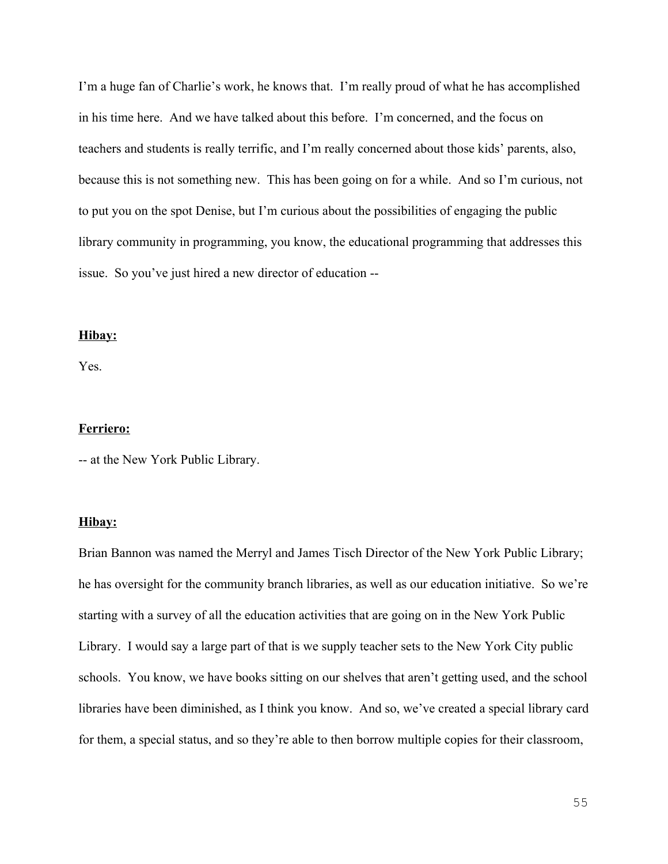I'm a huge fan of Charlie's work, he knows that. I'm really proud of what he has accomplished in his time here. And we have talked about this before. I'm concerned, and the focus on teachers and students is really terrific, and I'm really concerned about those kids' parents, also, because this is not something new. This has been going on for a while. And so I'm curious, not to put you on the spot Denise, but I'm curious about the possibilities of engaging the public library community in programming, you know, the educational programming that addresses this issue. So you've just hired a new director of education --

## **Hibay:**

Yes.

## **Ferriero:**

-- at the New York Public Library.

## **Hibay:**

Brian Bannon was named the Merryl and James Tisch Director of the New York Public Library; he has oversight for the community branch libraries, as well as our education initiative. So we're starting with a survey of all the education activities that are going on in the New York Public Library. I would say a large part of that is we supply teacher sets to the New York City public schools. You know, we have books sitting on our shelves that aren't getting used, and the school libraries have been diminished, as I think you know. And so, we've created a special library card for them, a special status, and so they're able to then borrow multiple copies for their classroom,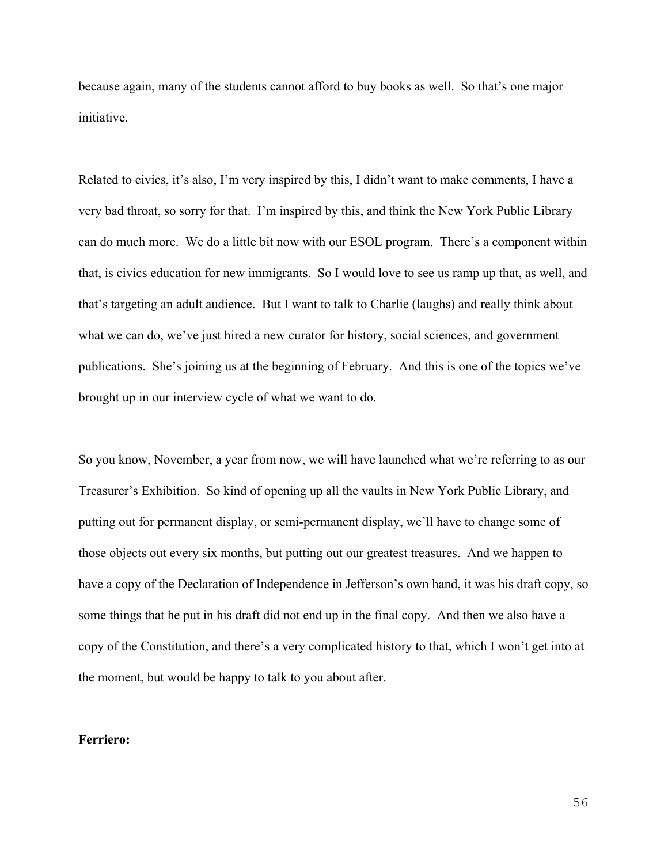because again, many of the students cannot afford to buy books as well. So that's one major initiative.

Related to civics, it's also, I'm very inspired by this, I didn't want to make comments, I have a very bad throat, so sorry for that. I'm inspired by this, and think the New York Public Library can do much more. We do a little bit now with our ESOL program. There's a component within that, is civics education for new immigrants. So I would love to see us ramp up that, as well, and that's targeting an adult audience. But I want to talk to Charlie (laughs) and really think about what we can do, we've just hired a new curator for history, social sciences, and government publications. She's joining us at the beginning of February. And this is one of the topics we've brought up in our interview cycle of what we want to do.

So you know, November, a year from now, we will have launched what we're referring to as our Treasurer's Exhibition. So kind of opening up all the vaults in New York Public Library, and putting out for permanent display, or semi-permanent display, we'll have to change some of those objects out every six months, but putting out our greatest treasures. And we happen to have a copy of the Declaration of Independence in Jefferson's own hand, it was his draft copy, so some things that he put in his draft did not end up in the final copy. And then we also have a copy of the Constitution, and there's a very complicated history to that, which I won't get into at the moment, but would be happy to talk to you about after.

# **Ferriero:**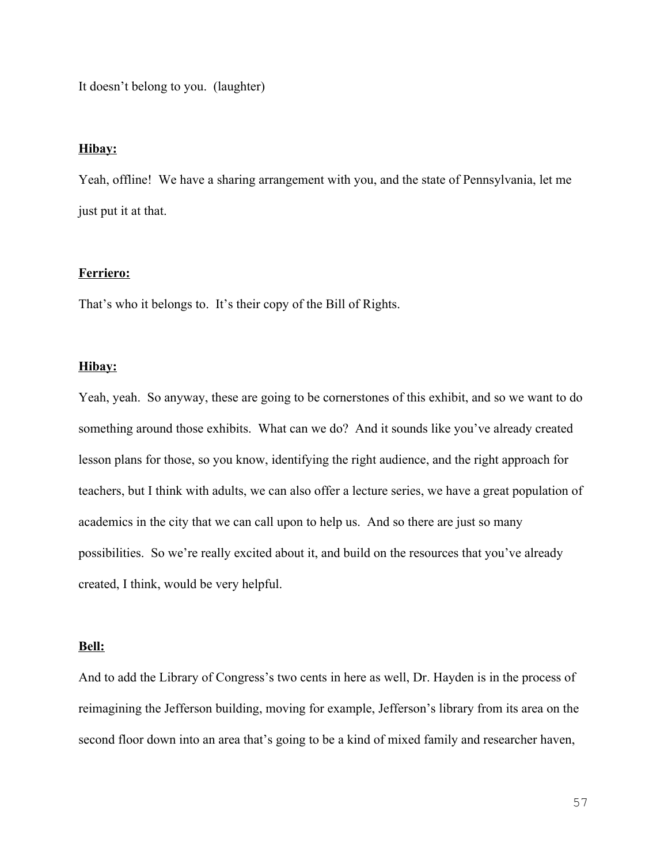It doesn't belong to you. (laughter)

#### **Hibay:**

Yeah, offline! We have a sharing arrangement with you, and the state of Pennsylvania, let me just put it at that.

## **Ferriero:**

That's who it belongs to. It's their copy of the Bill of Rights.

# **Hibay:**

Yeah, yeah. So anyway, these are going to be cornerstones of this exhibit, and so we want to do something around those exhibits. What can we do? And it sounds like you've already created lesson plans for those, so you know, identifying the right audience, and the right approach for teachers, but I think with adults, we can also offer a lecture series, we have a great population of academics in the city that we can call upon to help us. And so there are just so many possibilities. So we're really excited about it, and build on the resources that you've already created, I think, would be very helpful.

#### **Bell:**

And to add the Library of Congress's two cents in here as well, Dr. Hayden is in the process of reimagining the Jefferson building, moving for example, Jefferson's library from its area on the second floor down into an area that's going to be a kind of mixed family and researcher haven,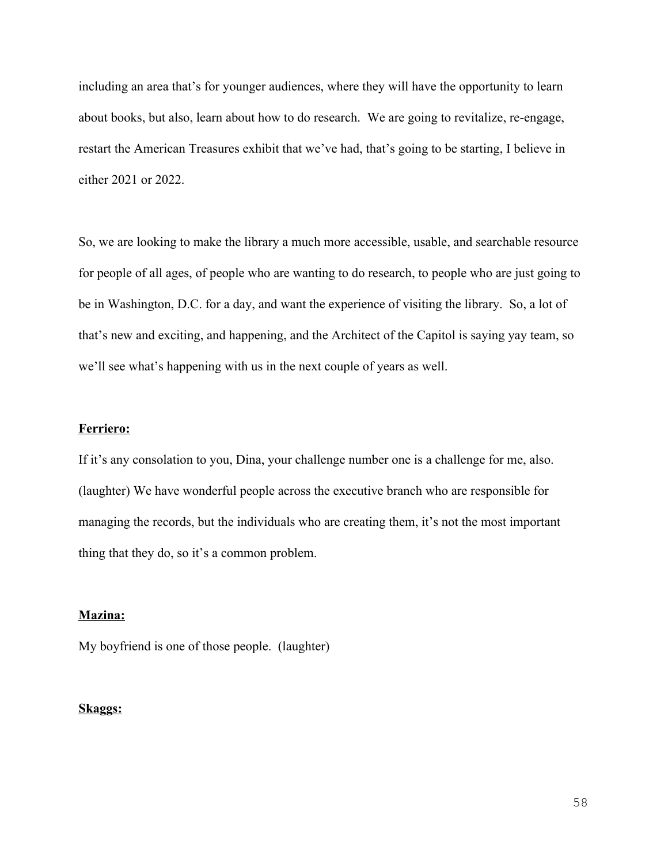including an area that's for younger audiences, where they will have the opportunity to learn about books, but also, learn about how to do research. We are going to revitalize, re-engage, restart the American Treasures exhibit that we've had, that's going to be starting, I believe in either 2021 or 2022.

So, we are looking to make the library a much more accessible, usable, and searchable resource for people of all ages, of people who are wanting to do research, to people who are just going to be in Washington, D.C. for a day, and want the experience of visiting the library. So, a lot of that's new and exciting, and happening, and the Architect of the Capitol is saying yay team, so we'll see what's happening with us in the next couple of years as well.

# **Ferriero:**

If it's any consolation to you, Dina, your challenge number one is a challenge for me, also. (laughter) We have wonderful people across the executive branch who are responsible for managing the records, but the individuals who are creating them, it's not the most important thing that they do, so it's a common problem.

#### **Mazina:**

My boyfriend is one of those people. (laughter)

## **Skaggs:**